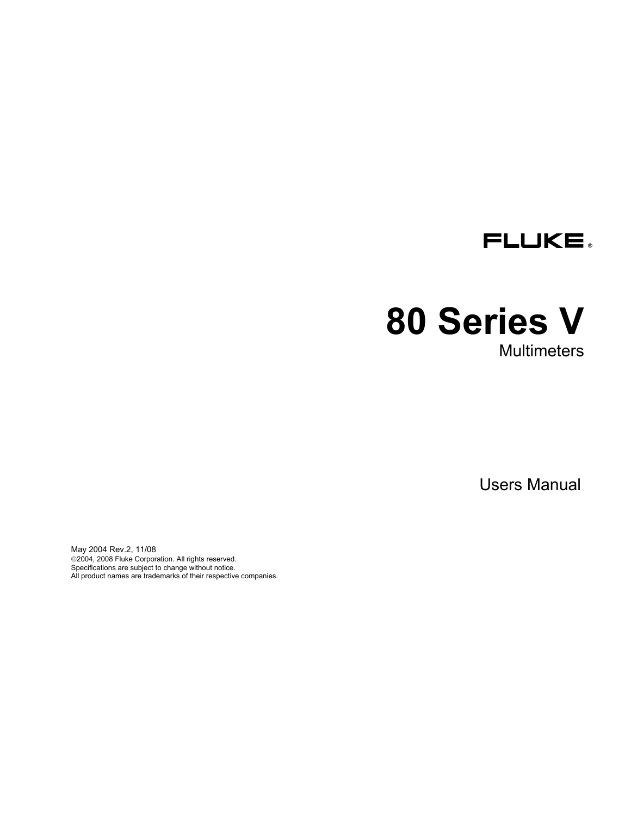

# **80 Series V**

**Multimeters** 

Users Manual

May 2004 Rev.2, 11/08 ©2004, 2008 Fluke Corporation. All rights reserved. Specifications are subject to change without notice. All product names are trademarks of their respective companies.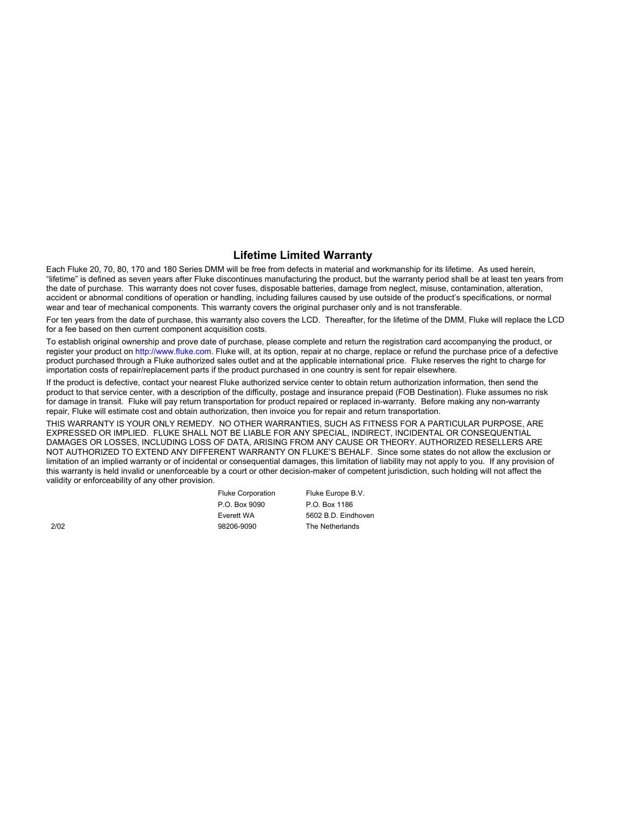## **Lifetime Limited Warranty**

Each Fluke 20, 70, 80, 170 and 180 Series DMM will be free from defects in material and workmanship for its lifetime. As used herein, "lifetime" is defined as seven years after Fluke discontinues manufacturing the product, but the warranty period shall be at least ten years from the date of purchase. This warranty does not cover fuses, disposable batteries, damage from neglect, misuse, contamination, alteration, accident or abnormal conditions of operation or handling, including failures caused by use outside of the product's specifications, or normal wear and tear of mechanical components. This warranty covers the original purchaser only and is not transferable.

For ten years from the date of purchase, this warranty also covers the LCD. Thereafter, for the lifetime of the DMM, Fluke will replace the LCD for a fee based on then current component acquisition costs.

To establish original ownership and prove date of purchase, please complete and return the registration card accompanying the product, or register your product on http://www.fluke.com. Fluke will, at its option, repair at no charge, replace or refund the purchase price of a defective product purchased through a Fluke authorized sales outlet and at the applicable international price. Fluke reserves the right to charge for importation costs of repair/replacement parts if the product purchased in one country is sent for repair elsewhere.

If the product is defective, contact your nearest Fluke authorized service center to obtain return authorization information, then send the product to that service center, with a description of the difficulty, postage and insurance prepaid (FOB Destination). Fluke assumes no risk for damage in transit. Fluke will pay return transportation for product repaired or replaced in-warranty. Before making any non-warranty repair, Fluke will estimate cost and obtain authorization, then invoice you for repair and return transportation.

THIS WARRANTY IS YOUR ONLY REMEDY. NO OTHER WARRANTIES, SUCH AS FITNESS FOR A PARTICULAR PURPOSE, ARE EXPRESSED OR IMPLIED. FLUKE SHALL NOT BE LIABLE FOR ANY SPECIAL, INDIRECT, INCIDENTAL OR CONSEQUENTIAL DAMAGES OR LOSSES, INCLUDING LOSS OF DATA, ARISING FROM ANY CAUSE OR THEORY. AUTHORIZED RESELLERS ARE NOT AUTHORIZED TO EXTEND ANY DIFFERENT WARRANTY ON FLUKE'S BEHALF. Since some states do not allow the exclusion or limitation of an implied warranty or of incidental or consequential damages, this limitation of liability may not apply to you. If any provision of this warranty is held invalid or unenforceable by a court or other decision-maker of competent jurisdiction, such holding will not affect the validity or enforceability of any other provision.

|      | <b>Fluke Corporation</b> | Fluke Europe B.V.   |
|------|--------------------------|---------------------|
|      | P.O. Box 9090            | P.O. Box 1186       |
|      | Everett WA               | 5602 B.D. Eindhoven |
| 2/02 | 98206-9090               | The Netherlands     |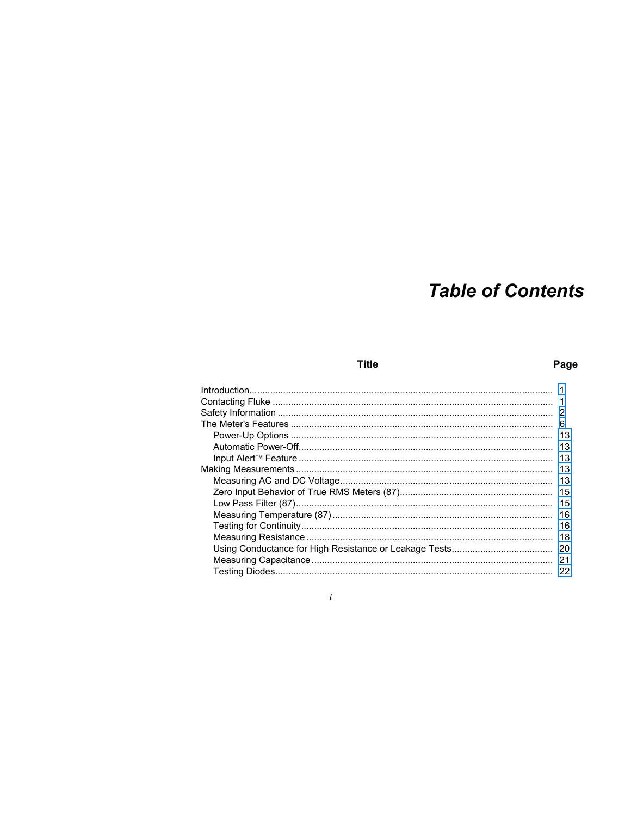# **Table of Contents**

#### **Title**

#### Page

| 13  |
|-----|
|     |
|     |
|     |
|     |
|     |
| 16  |
|     |
|     |
|     |
| -21 |
|     |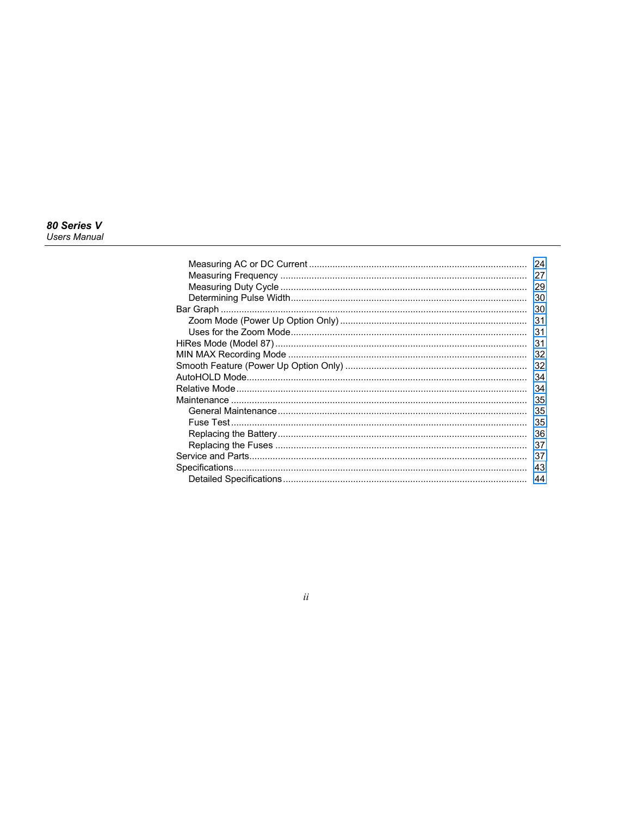|  | <b>80 Series V</b> |  |
|--|--------------------|--|
|  | Users Manual       |  |

| 24 |
|----|
| 27 |
| 29 |
| 30 |
| 30 |
| 31 |
| 31 |
| 31 |
| 32 |
| 32 |
| 34 |
| 34 |
| 35 |
| 35 |
| 35 |
| 36 |
| 37 |
| 37 |
| 43 |
| 44 |
|    |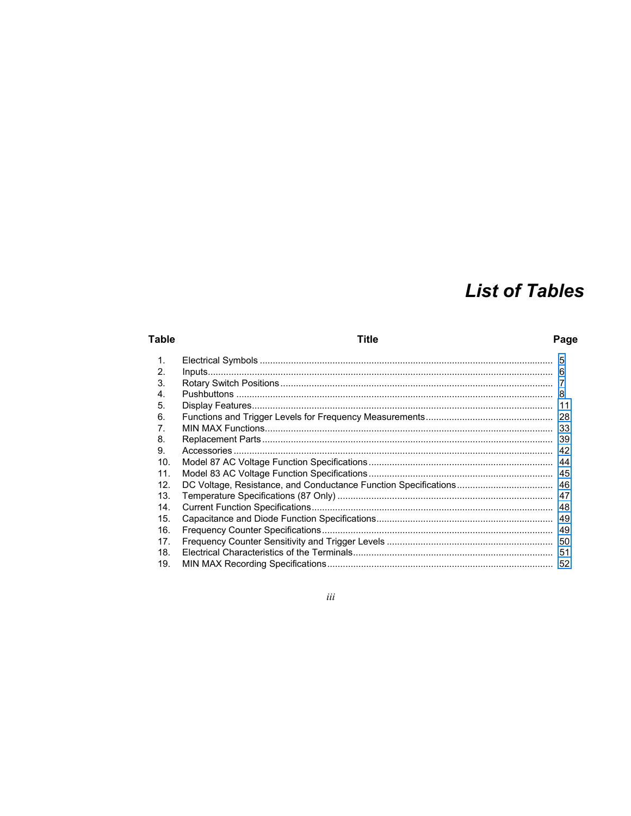# **List of Tables**

| <b>Table</b>    | Title | Page |
|-----------------|-------|------|
| $\mathbf 1$     |       |      |
| 2 <sub>1</sub>  |       |      |
| 3.              |       |      |
| 4.              |       |      |
| 5.              |       |      |
| 6.              |       |      |
| 7.              |       |      |
| 8.              |       |      |
| 9.              |       |      |
| 10.             |       |      |
| 11 <sub>1</sub> |       |      |
| 12 <sub>1</sub> |       |      |
| 13.             |       |      |
| 14 <sub>1</sub> |       |      |
| 15.             |       |      |
| 16.             |       |      |
| 17 <sub>1</sub> |       |      |
| 18.             |       |      |
| 19.             |       |      |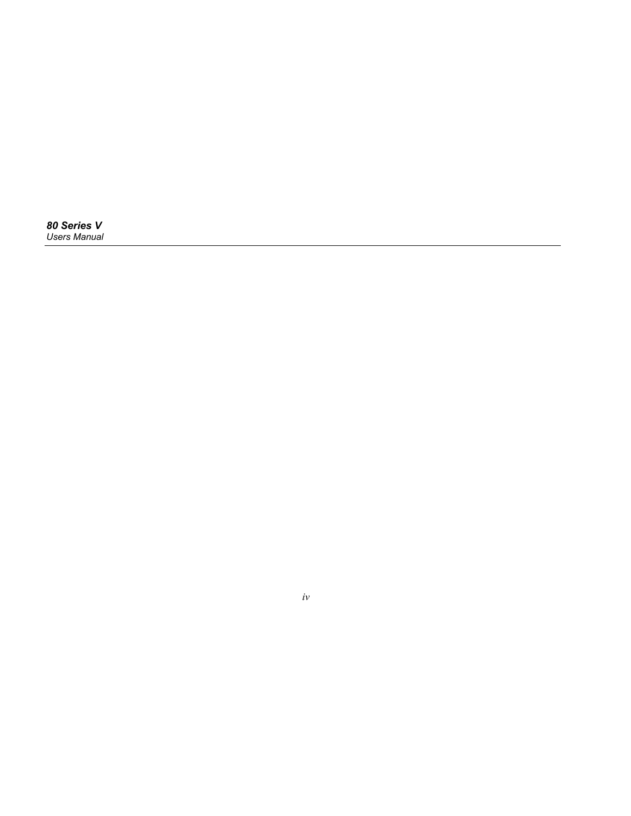|  | <b>80 Series V</b> |  |
|--|--------------------|--|
|  | Users Manual       |  |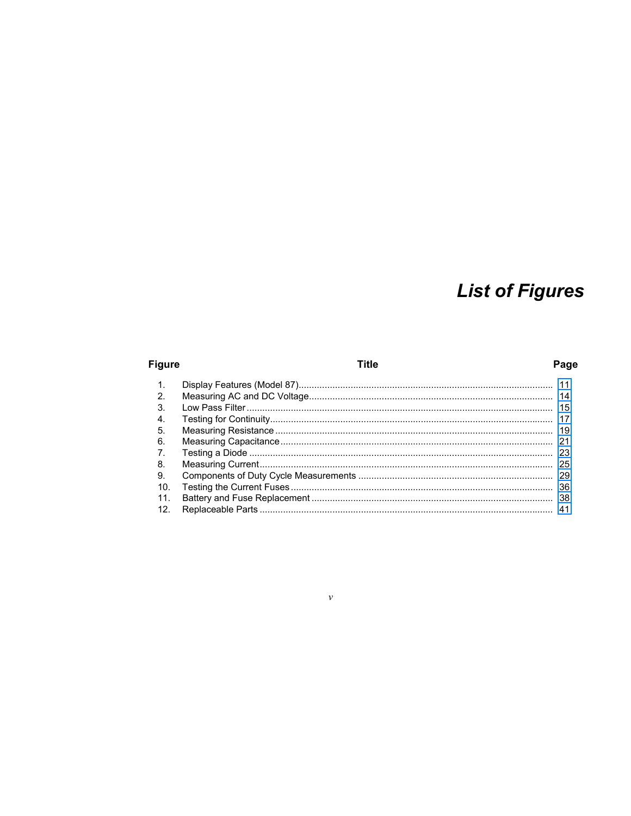# **List of Figures**

#### **Figure**

#### **Title**

#### Page

| $\mathbf{1}$ . |  |
|----------------|--|
| 2.             |  |
| 3.             |  |
| 4.             |  |
| -5.            |  |
| 6.             |  |
| $7_{\cdot}$    |  |
| 8.             |  |
| 9.             |  |
| -10.           |  |
| 11.            |  |
| 12.            |  |
|                |  |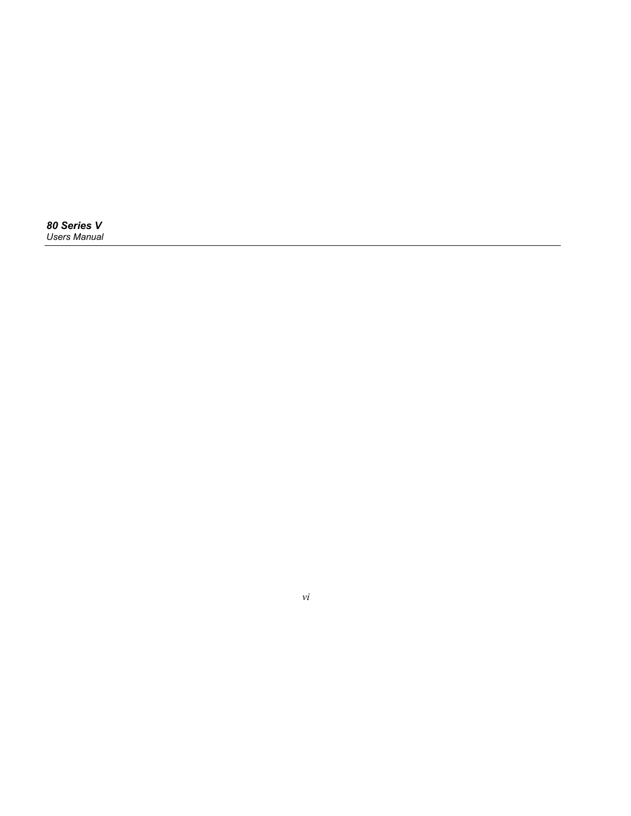|  | <b>80 Series V</b> |  |
|--|--------------------|--|
|  | Users Manual       |  |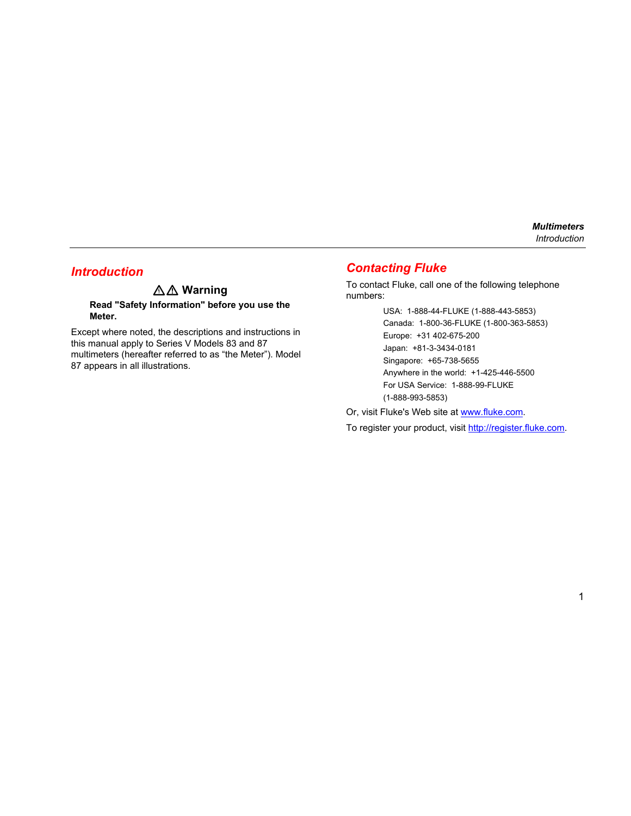## <span id="page-8-0"></span>*Introduction*

A **Marning Read "Safety Information" before you use the Meter.** 

Except where noted, the descriptions and instructions in this manual apply to Series V Models 83 and 87 multimeters (hereafter referred to as "the Meter"). Model 87 appears in all illustrations.

# *Contacting Fluke*

To contact Fluke, call one of the following telephone numbers:

> USA: 1-888-44-FLUKE (1-888-443-5853) Canada: 1-800-36-FLUKE (1-800-363-5853) Europe: +31 402-675-200 Japan: +81-3-3434-0181 Singapore: +65-738-5655 Anywhere in the world: +1-425-446-5500 For USA Service: 1-888-99-FLUKE (1-888-993-5853)

Or, visit Fluke's Web site at www.fluke.com.

To register your product, visit http://register.fluke.com.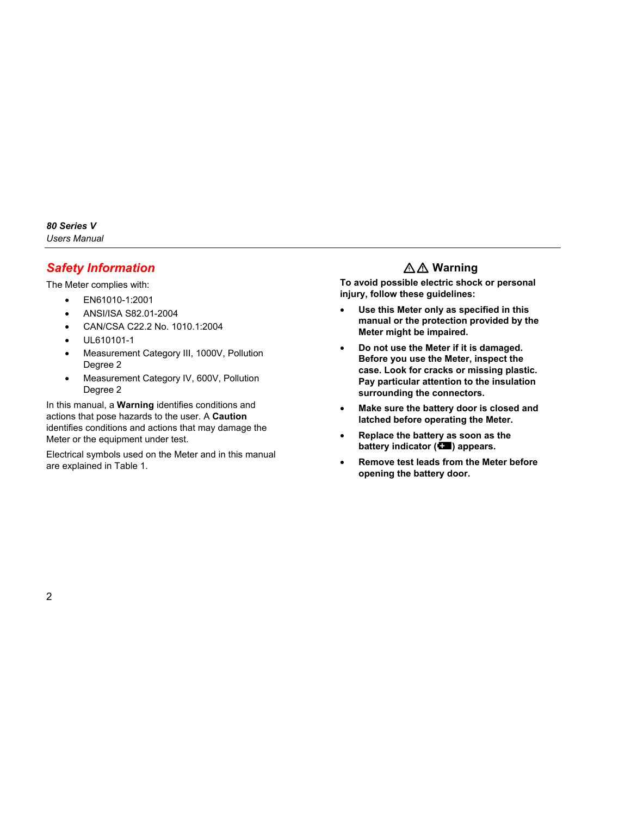# <span id="page-9-0"></span>*Safety Information*

The Meter complies with:

- EN61010-1:2001
- ANSI/ISA S82.01-2004
- CAN/CSA C22.2 No. 1010.1:2004
- UL610101-1
- Measurement Category III, 1000V, Pollution Degree 2
- Measurement Category IV, 600V, Pollution Degree 2

In this manual, a **Warning** identifies conditions and actions that pose hazards to the user. A **Caution** identifies conditions and actions that may damage the Meter or the equipment under test.

Electrical symbols used on the Meter and in this manual are explained in Table 1.

# A **Marning**

**To avoid possible electric shock or personal injury, follow these guidelines:** 

- **Use this Meter only as specified in this manual or the protection provided by the Meter might be impaired.**
- **Do not use the Meter if it is damaged. Before you use the Meter, inspect the case. Look for cracks or missing plastic. Pay particular attention to the insulation surrounding the connectors.**
- **Make sure the battery door is closed and latched before operating the Meter.**
- **Replace the battery as soon as the battery indicator (**M**) appears.**
- **Remove test leads from the Meter before opening the battery door.**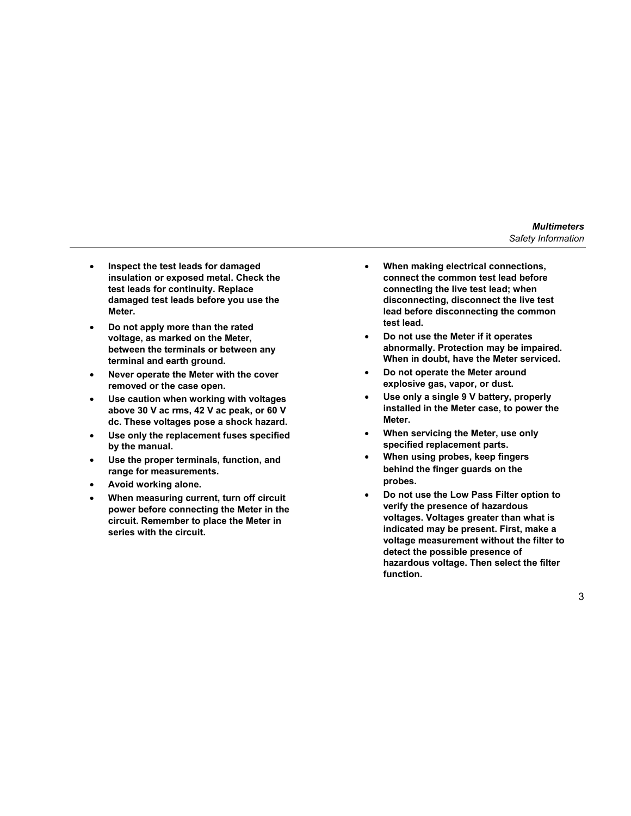- **Inspect the test leads for damaged insulation or exposed metal. Check the test leads for continuity. Replace damaged test leads before you use the Meter.**
- **Do not apply more than the rated voltage, as marked on the Meter, between the terminals or between any terminal and earth ground.**
- **Never operate the Meter with the cover removed or the case open.**
- **Use caution when working with voltages above 30 V ac rms, 42 V ac peak, or 60 V dc. These voltages pose a shock hazard.**
- **Use only the replacement fuses specified by the manual.**
- **Use the proper terminals, function, and range for measurements.**
- **Avoid working alone.**
- **When measuring current, turn off circuit power before connecting the Meter in the circuit. Remember to place the Meter in series with the circuit.**
- **When making electrical connections, connect the common test lead before connecting the live test lead; when disconnecting, disconnect the live test lead before disconnecting the common test lead.**
- **Do not use the Meter if it operates abnormally. Protection may be impaired. When in doubt, have the Meter serviced.**
- **Do not operate the Meter around explosive gas, vapor, or dust.**
- **Use only a single 9 V battery, properly installed in the Meter case, to power the Meter.**
- **When servicing the Meter, use only specified replacement parts.**
- **When using probes, keep fingers behind the finger guards on the probes.**
- **Do not use the Low Pass Filter option to verify the presence of hazardous voltages. Voltages greater than what is indicated may be present. First, make a voltage measurement without the filter to detect the possible presence of hazardous voltage. Then select the filter function.**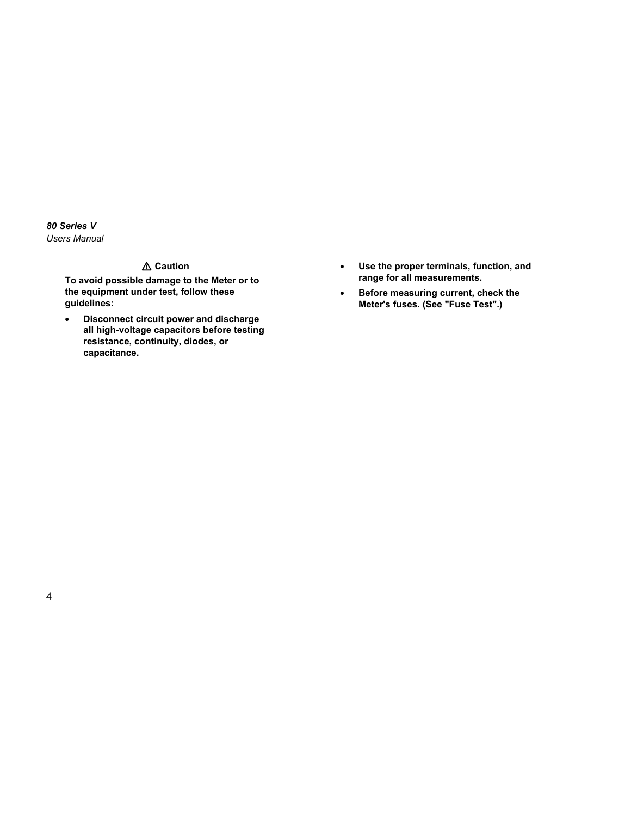#### W **Caution**

**To avoid possible damage to the Meter or to the equipment under test, follow these guidelines:** 

• **Disconnect circuit power and discharge all high-voltage capacitors before testing resistance, continuity, diodes, or capacitance.** 

- **Use the proper terminals, function, and range for all measurements.**
- **Before measuring current, check the Meter's fuses. (See "Fuse Test".)**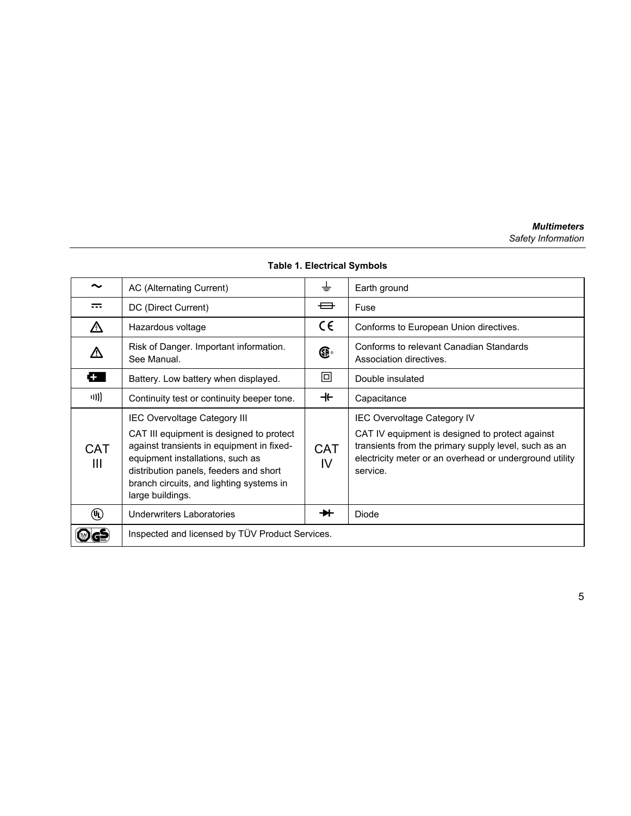|  | <b>Table 1. Electrical Symbols</b> |  |
|--|------------------------------------|--|
|--|------------------------------------|--|

<span id="page-12-0"></span>

|                 | AC (Alternating Current)                                                                                                                                                                                                                                                   | ±                | Earth ground                                                                                                                                                                                                         |
|-----------------|----------------------------------------------------------------------------------------------------------------------------------------------------------------------------------------------------------------------------------------------------------------------------|------------------|----------------------------------------------------------------------------------------------------------------------------------------------------------------------------------------------------------------------|
| æ               | DC (Direct Current)                                                                                                                                                                                                                                                        | ⊟                | Fuse                                                                                                                                                                                                                 |
| ∕∆              | Hazardous voltage                                                                                                                                                                                                                                                          | $\epsilon$       | Conforms to European Union directives.                                                                                                                                                                               |
|                 | Risk of Danger. Important information.<br>See Manual.                                                                                                                                                                                                                      | Œ∘               | Conforms to relevant Canadian Standards<br>Association directives.                                                                                                                                                   |
| cш              | Battery. Low battery when displayed.                                                                                                                                                                                                                                       | 问                | Double insulated                                                                                                                                                                                                     |
| 川))             | Continuity test or continuity beeper tone.                                                                                                                                                                                                                                 | ⊣⊦               | Capacitance                                                                                                                                                                                                          |
| <b>CAT</b><br>Ш | <b>IEC Overvoltage Category III</b><br>CAT III equipment is designed to protect<br>against transients in equipment in fixed-<br>equipment installations, such as<br>distribution panels, feeders and short<br>branch circuits, and lighting systems in<br>large buildings. | <b>CAT</b><br>IV | <b>IEC Overvoltage Category IV</b><br>CAT IV equipment is designed to protect against<br>transients from the primary supply level, such as an<br>electricity meter or an overhead or underground utility<br>service. |
| $(\mathbf{0})$  | Underwriters Laboratories                                                                                                                                                                                                                                                  |                  | Diode                                                                                                                                                                                                                |
|                 | Inspected and licensed by TÜV Product Services.                                                                                                                                                                                                                            |                  |                                                                                                                                                                                                                      |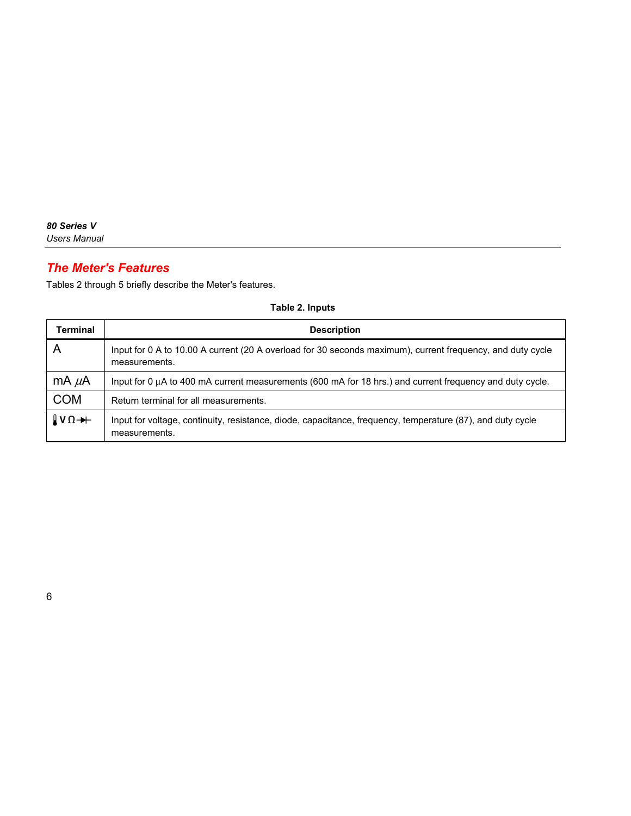# <span id="page-13-0"></span>*The Meter's Features*

Tables 2 through 5 briefly describe the Meter's features.

|  |  | Table 2. Inputs |
|--|--|-----------------|
|--|--|-----------------|

| Terminal          | <b>Description</b>                                                                                                          |
|-------------------|-----------------------------------------------------------------------------------------------------------------------------|
| A                 | Input for 0 A to 10.00 A current (20 A overload for 30 seconds maximum), current frequency, and duty cycle<br>measurements. |
| mA $\mu$ A        | Input for 0 µA to 400 mA current measurements (600 mA for 18 hrs.) and current frequency and duty cycle.                    |
| <b>COM</b>        | Return terminal for all measurements.                                                                                       |
| $\sqrt{\sqrt{Q}}$ | Input for voltage, continuity, resistance, diode, capacitance, frequency, temperature (87), and duty cycle<br>measurements. |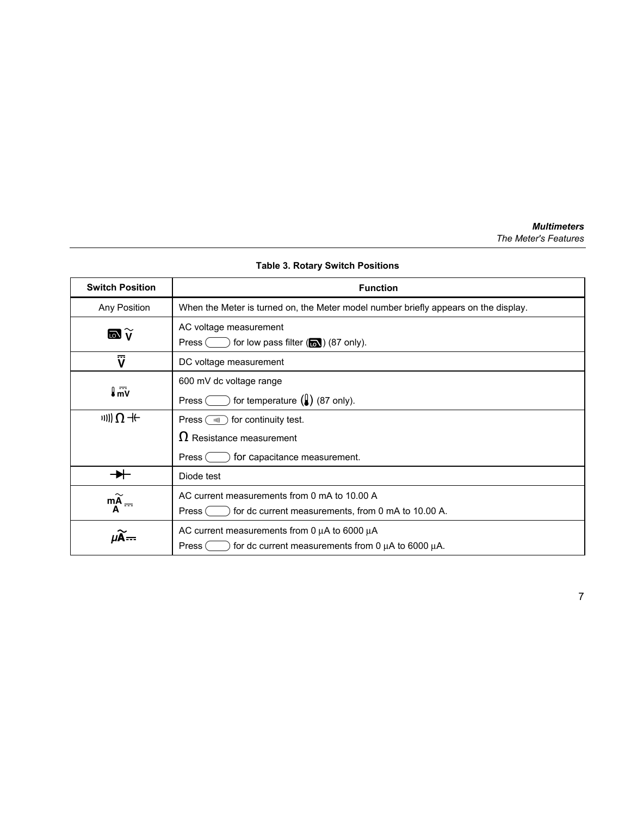#### **Table 3. Rotary Switch Positions**

<span id="page-14-0"></span>

| <b>Switch Position</b>                           | <b>Function</b>                                                                     |  |  |
|--------------------------------------------------|-------------------------------------------------------------------------------------|--|--|
| Any Position                                     | When the Meter is turned on, the Meter model number briefly appears on the display. |  |  |
| $\overline{\mathbf{N}}$ $\widetilde{\mathbf{V}}$ | AC voltage measurement<br>for low pass filter $(\Box)$ (87 only).<br>Press (        |  |  |
| $\overline{\overline{\mathsf{v}}}$               | DC voltage measurement                                                              |  |  |
| $\mathbf{I}$ <sub>mV</sub>                       | 600 mV dc voltage range                                                             |  |  |
|                                                  | for temperature $\left(\frac{1}{2}\right)$ (87 only).<br>Press (                    |  |  |
| $\frac{1}{2}$ (III                               | for continuity test.                                                                |  |  |
|                                                  | $\Omega$ Resistance measurement                                                     |  |  |
| for capacitance measurement.<br>Press (          |                                                                                     |  |  |
|                                                  | Diode test                                                                          |  |  |
| $m\widetilde{A}_{\dots}$                         | AC current measurements from 0 mA to 10.00 A                                        |  |  |
|                                                  | for dc current measurements, from 0 mA to 10.00 A.<br>Press (                       |  |  |
|                                                  | AC current measurements from 0 $\mu$ A to 6000 $\mu$ A                              |  |  |
|                                                  | for dc current measurements from 0 $\mu$ A to 6000 $\mu$ A.<br>Press (              |  |  |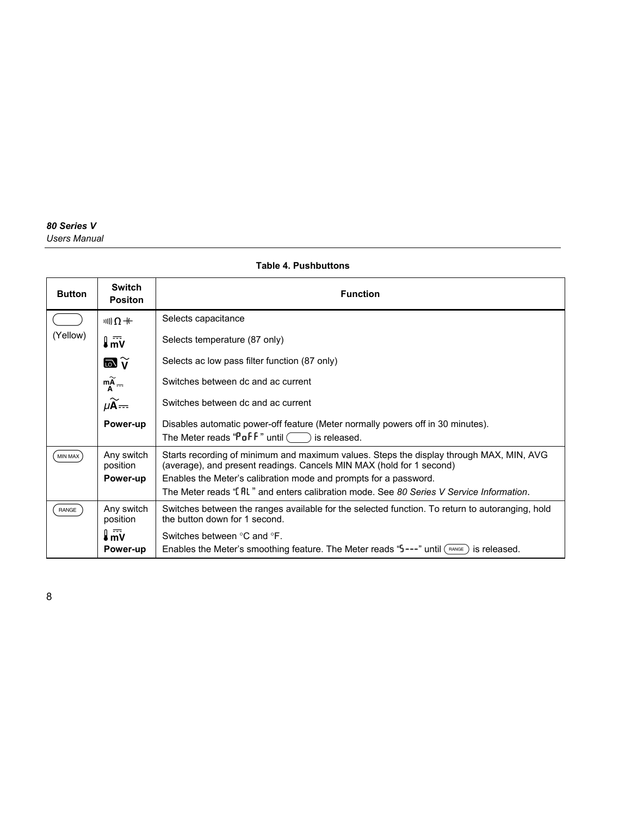#### **Table 4. Pushbuttons**

<span id="page-15-0"></span>

| <b>Button</b> | <b>Switch</b><br><b>Positon</b>    | <b>Function</b>                                                                                                                                                                                                                     |
|---------------|------------------------------------|-------------------------------------------------------------------------------------------------------------------------------------------------------------------------------------------------------------------------------------|
|               | $\frac{1}{2}$ (III                 | Selects capacitance                                                                                                                                                                                                                 |
| (Yellow)      | $\mathbf{I}$ <sub>mV</sub>         | Selects temperature (87 only)                                                                                                                                                                                                       |
|               | <b>N</b> v                         | Selects ac low pass filter function (87 only)                                                                                                                                                                                       |
|               | $m\widetilde{A}_{-}$               | Switches between dc and ac current                                                                                                                                                                                                  |
|               | $\mu \widetilde{A}$ $\equiv$       | Switches between dc and ac current                                                                                                                                                                                                  |
|               | Power-up                           | Disables automatic power-off feature (Meter normally powers off in 30 minutes).<br>The Meter reads " $\mathsf{PoFF}$ " until $\Box$<br>is released.                                                                                 |
| MIN MAX       | Any switch<br>position<br>Power-up | Starts recording of minimum and maximum values. Steps the display through MAX, MIN, AVG<br>(average), and present readings. Cancels MIN MAX (hold for 1 second)<br>Enables the Meter's calibration mode and prompts for a password. |
|               |                                    | The Meter reads "C AL" and enters calibration mode. See 80 Series V Service Information.                                                                                                                                            |
| RANGE         | Any switch<br>position             | Switches between the ranges available for the selected function. To return to autoranging, hold<br>the button down for 1 second.                                                                                                    |
|               | $\sqrt{\frac{1}{m}}$               | Switches between ${}^{\circ}$ C and ${}^{\circ}$ F.                                                                                                                                                                                 |
|               | Power-up                           | Enables the Meter's smoothing feature. The Meter reads " $5$ ---" until $(m_{\text{AMGE}})$<br>is released.                                                                                                                         |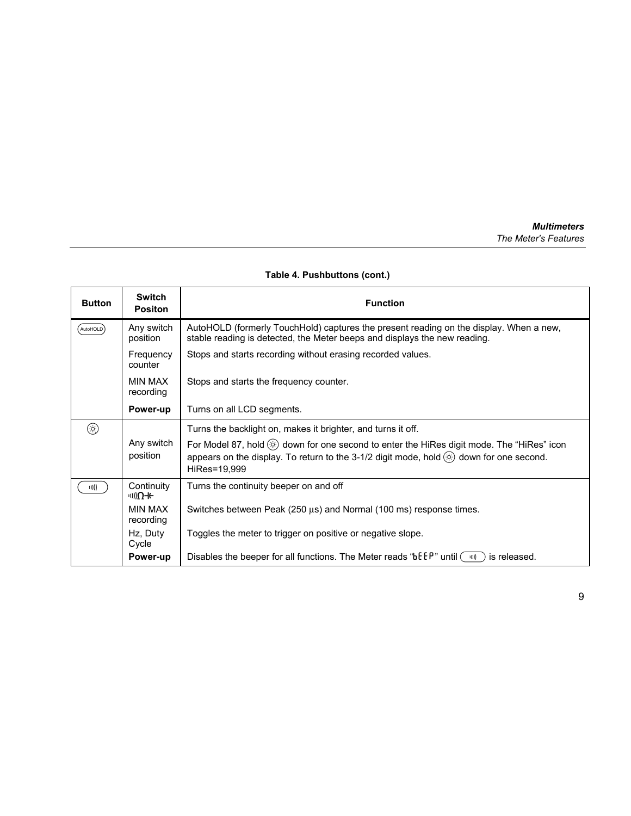| <b>Button</b> | <b>Switch</b><br><b>Positon</b>    | <b>Function</b>                                                                                                                                                                                                                     |
|---------------|------------------------------------|-------------------------------------------------------------------------------------------------------------------------------------------------------------------------------------------------------------------------------------|
| AutoHOLD      | Any switch<br>position             | AutoHOLD (formerly TouchHold) captures the present reading on the display. When a new,<br>stable reading is detected, the Meter beeps and displays the new reading.                                                                 |
|               | Frequency<br>counter               | Stops and starts recording without erasing recorded values.                                                                                                                                                                         |
|               | <b>MIN MAX</b><br>recording        | Stops and starts the frequency counter.                                                                                                                                                                                             |
|               | Power-up                           | Turns on all LCD segments.                                                                                                                                                                                                          |
| ි)            |                                    | Turns the backlight on, makes it brighter, and turns it off.                                                                                                                                                                        |
|               | Any switch<br>position             | For Model 87, hold ( $\circledast$ ) down for one second to enter the HiRes digit mode. The "HiRes" icon<br>appears on the display. To return to the 3-1/2 digit mode, hold ( $\circledcirc$ ) down for one second.<br>HiRes=19,999 |
| ((נו          | Continuity<br>,,,,)Ω⊣ <del>ι</del> | Turns the continuity beeper on and off                                                                                                                                                                                              |
|               | <b>MIN MAX</b><br>recording        | Switches between Peak (250 $\mu$ s) and Normal (100 ms) response times.                                                                                                                                                             |
|               | Hz, Duty<br>Cycle                  | Toggles the meter to trigger on positive or negative slope.                                                                                                                                                                         |
|               | Power-up                           | Disables the beeper for all functions. The Meter reads "bEEP" until $($ $\mathfrak{m}$<br>is released.                                                                                                                              |

#### **Table 4. Pushbuttons (cont.)**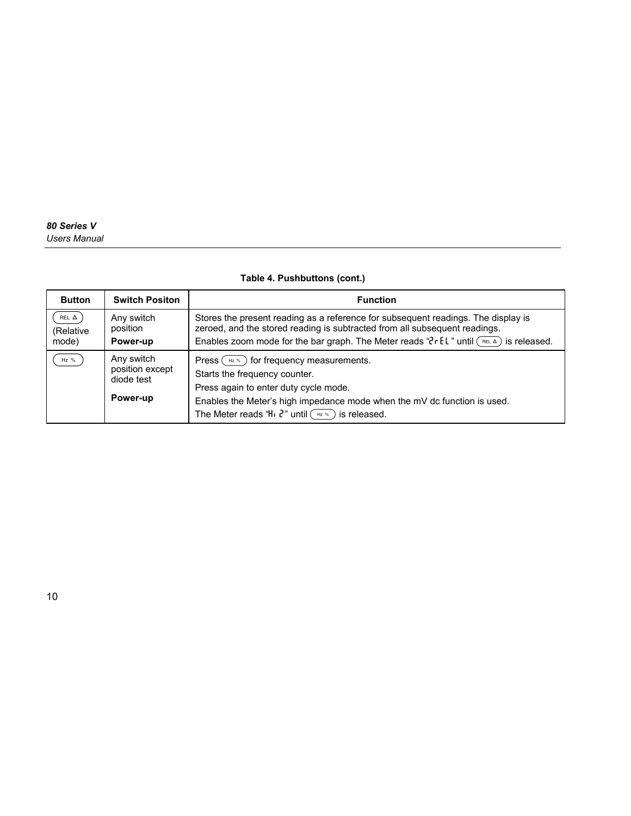|  |  |  | Table 4. Pushbuttons (cont.) |
|--|--|--|------------------------------|
|--|--|--|------------------------------|

| <b>Button</b>                      | <b>Switch Positon</b>                                   | <b>Function</b>                                                                                                                                                                                                                                                                                         |
|------------------------------------|---------------------------------------------------------|---------------------------------------------------------------------------------------------------------------------------------------------------------------------------------------------------------------------------------------------------------------------------------------------------------|
| REL $\Delta$<br>(Relative<br>mode) | Any switch<br>position<br>Power-up                      | Stores the present reading as a reference for subsequent readings. The display is<br>zeroed, and the stored reading is subtracted from all subsequent readings.<br>Enables zoom mode for the bar graph. The Meter reads " $2rEt$ " until $(\overline{rel \triangle})$ is released.                      |
| Hz $%$                             | Any switch<br>position except<br>diode test<br>Power-up | for frequency measurements.<br>Press $($ Hz $\%$ $)$<br>Starts the frequency counter.<br>Press again to enter duty cycle mode.<br>Enables the Meter's high impedance mode when the mV dc function is used.<br>The Meter reads "H <sub>1</sub> $\bar{c}$ " until $(\bar{c} \times \bar{c})$ is released. |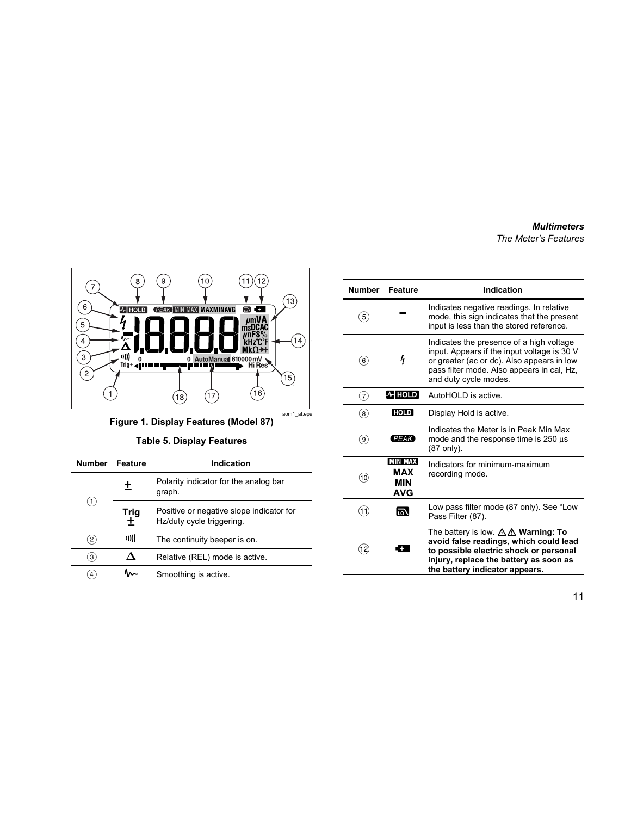<span id="page-18-0"></span>

**Figure 1. Display Features (Model 87)** 

#### **Table 5. Display Features**

| <b>Number</b> | <b>Feature</b>                      | Indication                                                            |  |
|---------------|-------------------------------------|-----------------------------------------------------------------------|--|
|               | 土                                   | Polarity indicator for the analog bar<br>graph.                       |  |
| (1)           | Trig<br>$\pm$                       | Positive or negative slope indicator for<br>Hz/duty cycle triggering. |  |
| $\mathbf{2}$  | 川)                                  | The continuity beeper is on.                                          |  |
| $\mathbf{3}$  | Л<br>Relative (REL) mode is active. |                                                                       |  |
| 4             | Smoothing is active.                |                                                                       |  |

| <b>Number</b>     | <b>Feature</b>                                           | Indication                                                                                                                                                                                                             |
|-------------------|----------------------------------------------------------|------------------------------------------------------------------------------------------------------------------------------------------------------------------------------------------------------------------------|
| $5^{\circ}$       |                                                          | Indicates negative readings. In relative<br>mode, this sign indicates that the present<br>input is less than the stored reference.                                                                                     |
| $\left( 6\right)$ | ł                                                        | Indicates the presence of a high voltage<br>input. Appears if the input voltage is 30 V<br>or greater (ac or dc). Also appears in low<br>pass filter mode. Also appears in cal, Hz,<br>and duty cycle modes.           |
| ⊙                 | [⁄~  но∟р ]                                              | AutoHOLD is active.                                                                                                                                                                                                    |
| $\left( 8\right)$ | <b>HOLD</b>                                              | Display Hold is active.                                                                                                                                                                                                |
| 9)                | PEAK                                                     | Indicates the Meter is in Peak Min Max<br>mode and the response time is $250 \mu s$<br>(87 only).                                                                                                                      |
| (10)              | <b>MIN MAX</b><br><b>MAX</b><br><b>MIN</b><br><b>AVG</b> | Indicators for minimum-maximum<br>recording mode.                                                                                                                                                                      |
| 11                | ده ا                                                     | Low pass filter mode (87 only). See "Low<br>Pass Filter (87).                                                                                                                                                          |
| 12                | т.                                                       | The battery is low. $\mathbb{A}\mathbb{A}$ Warning: To<br>avoid false readings, which could lead<br>to possible electric shock or personal<br>injury, replace the battery as soon as<br>the battery indicator appears. |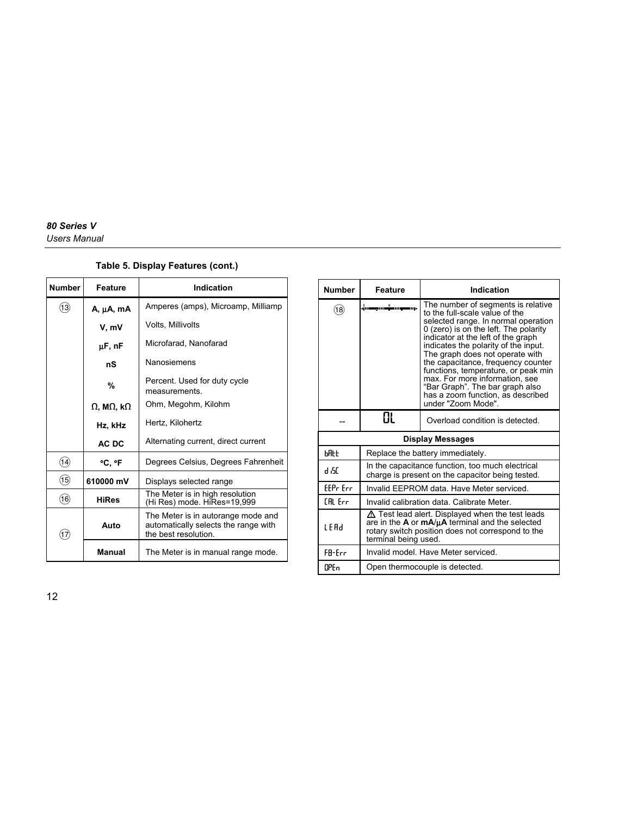#### *80 Series V Users Manual*

## **Table 5. Display Features (cont.)**

| <b>Number</b>     | <b>Feature</b>                     | Indication                                                                                         |
|-------------------|------------------------------------|----------------------------------------------------------------------------------------------------|
| $\left( 3\right)$ | A, µA, mA                          | Amperes (amps), Microamp, Milliamp                                                                 |
|                   | V, mV                              | Volts, Millivolts                                                                                  |
|                   | μF, nF                             | Microfarad, Nanofarad                                                                              |
|                   | nS                                 | Nanosiemens                                                                                        |
|                   | %                                  | Percent. Used for duty cycle<br>measurements.                                                      |
|                   | $\Omega$ , M $\Omega$ , k $\Omega$ | Ohm, Megohm, Kilohm                                                                                |
|                   | Hz, kHz                            | Hertz, Kilohertz                                                                                   |
|                   | AC DC                              | Alternating current, direct current                                                                |
| (14)              | °C, °F                             | Degrees Celsius, Degrees Fahrenheit                                                                |
| (15)              | 610000 mV                          | Displays selected range                                                                            |
| (16)              | <b>HiRes</b>                       | The Meter is in high resolution<br>(Hi Res) mode. HiRes=19,999                                     |
| (17)              | Auto                               | The Meter is in autorange mode and<br>automatically selects the range with<br>the best resolution. |
|                   | <b>Manual</b>                      | The Meter is in manual range mode.                                                                 |

| <b>Number</b> | Indication<br><b>Feature</b>                                                                                                                                                                      |                                                                                                                                                                                                                                                                                                                                                                                                                                                                                    |  |  |
|---------------|---------------------------------------------------------------------------------------------------------------------------------------------------------------------------------------------------|------------------------------------------------------------------------------------------------------------------------------------------------------------------------------------------------------------------------------------------------------------------------------------------------------------------------------------------------------------------------------------------------------------------------------------------------------------------------------------|--|--|
| (18)          |                                                                                                                                                                                                   | The number of segments is relative<br>to the full-scale value of the<br>selected range. In normal operation<br>0 (zero) is on the left. The polarity<br>indicator at the left of the graph<br>indicates the polarity of the input.<br>The graph does not operate with<br>the capacitance, frequency counter<br>functions, temperature, or peak min<br>max. For more information, see<br>"Bar Graph". The bar graph also<br>has a zoom function, as described<br>under "Zoom Mode". |  |  |
|               | ΠI.                                                                                                                                                                                               | Overload condition is detected                                                                                                                                                                                                                                                                                                                                                                                                                                                     |  |  |
|               | <b>Display Messages</b>                                                                                                                                                                           |                                                                                                                                                                                                                                                                                                                                                                                                                                                                                    |  |  |
| hfilt         | Replace the battery immediately.                                                                                                                                                                  |                                                                                                                                                                                                                                                                                                                                                                                                                                                                                    |  |  |
| त श           |                                                                                                                                                                                                   | In the capacitance function, too much electrical<br>charge is present on the capacitor being tested.                                                                                                                                                                                                                                                                                                                                                                               |  |  |
| FFPr Frr      |                                                                                                                                                                                                   | Invalid EEPROM data. Have Meter serviced.                                                                                                                                                                                                                                                                                                                                                                                                                                          |  |  |
| FAL Frr       | Invalid calibration data. Calibrate Meter.                                                                                                                                                        |                                                                                                                                                                                                                                                                                                                                                                                                                                                                                    |  |  |
| I FAJ         | $\triangle$ Test lead alert. Displayed when the test leads<br>are in the $A$ or $mA/\mu A$ terminal and the selected<br>rotary switch position does not correspond to the<br>terminal being used. |                                                                                                                                                                                                                                                                                                                                                                                                                                                                                    |  |  |
| FA-Frr        | Invalid model. Have Meter serviced.                                                                                                                                                               |                                                                                                                                                                                                                                                                                                                                                                                                                                                                                    |  |  |
| MPF o         | Open thermocouple is detected.                                                                                                                                                                    |                                                                                                                                                                                                                                                                                                                                                                                                                                                                                    |  |  |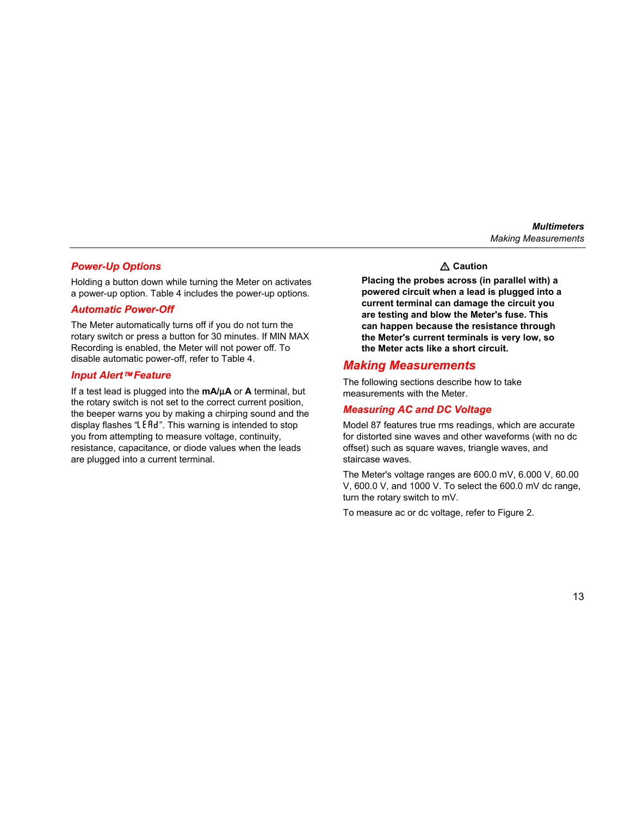#### <span id="page-20-0"></span>*Power-Up Options*

Holding a button down while turning the Meter on activates a power-up option. Table 4 includes the power-up options.

#### *Automatic Power-Off*

The Meter automatically turns off if you do not turn the rotary switch or press a button for 30 minutes. If MIN MAX Recording is enabled, the Meter will not power off. To disable automatic power-off, refer to Table 4.

#### *Input Alert*™ *Feature*

If a test lead is plugged into the **mA/**μ**A** or **A** terminal, but the rotary switch is not set to the correct current position, the beeper warns you by making a chirping sound and the display flashes "LEAd". This warning is intended to stop you from attempting to measure voltage, continuity, resistance, capacitance, or diode values when the leads are plugged into a current terminal.

#### W **Caution**

**Placing the probes across (in parallel with) a powered circuit when a lead is plugged into a current terminal can damage the circuit you are testing and blow the Meter's fuse. This can happen because the resistance through the Meter's current terminals is very low, so the Meter acts like a short circuit.** 

# *Making Measurements*

The following sections describe how to take measurements with the Meter

#### *Measuring AC and DC Voltage*

Model 87 features true rms readings, which are accurate for distorted sine waves and other waveforms (with no dc offset) such as square waves, triangle waves, and staircase waves.

The Meter's voltage ranges are 600.0 mV, 6.000 V, 60.00 V, 600.0 V, and 1000 V. To select the 600.0 mV dc range, turn the rotary switch to mV.

To measure ac or dc voltage, refer to Figure 2.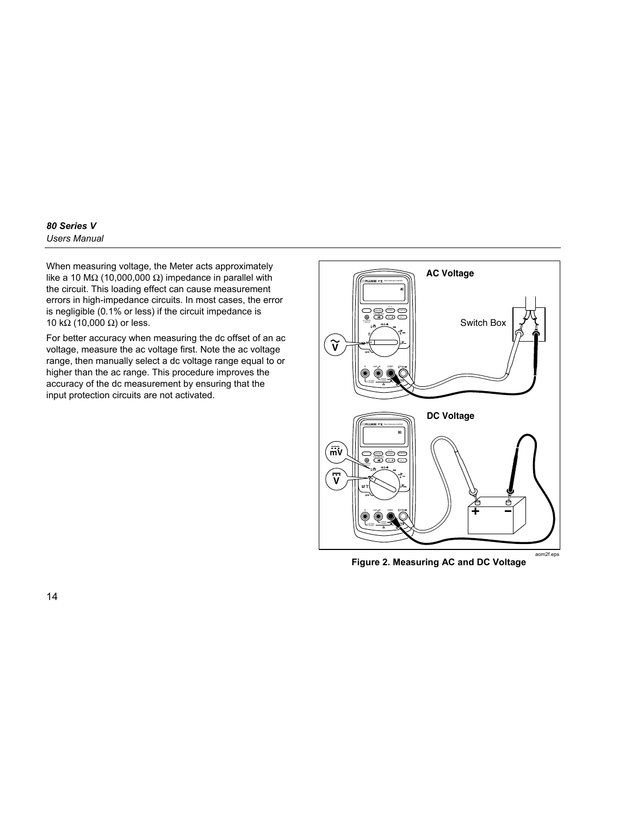<span id="page-21-0"></span>When measuring voltage, the Meter acts approximately like a 10 MΩ (10,000,000 Ω) impedance in parallel with the circuit. This loading effect can cause measurement errors in high-impedance circuits. In most cases, the error is negligible (0.1% or less) if the circuit impedance is 10 kΩ (10,000  $\Omega$ ) or less.

For better accuracy when measuring the dc offset of an ac voltage, measure the ac voltage first. Note the ac voltage range, then manually select a dc voltage range equal to or higher than the ac range. This procedure improves the accuracy of the dc measurement by ensuring that the input protection circuits are not activated.



**Figure 2. Measuring AC and DC Voltage**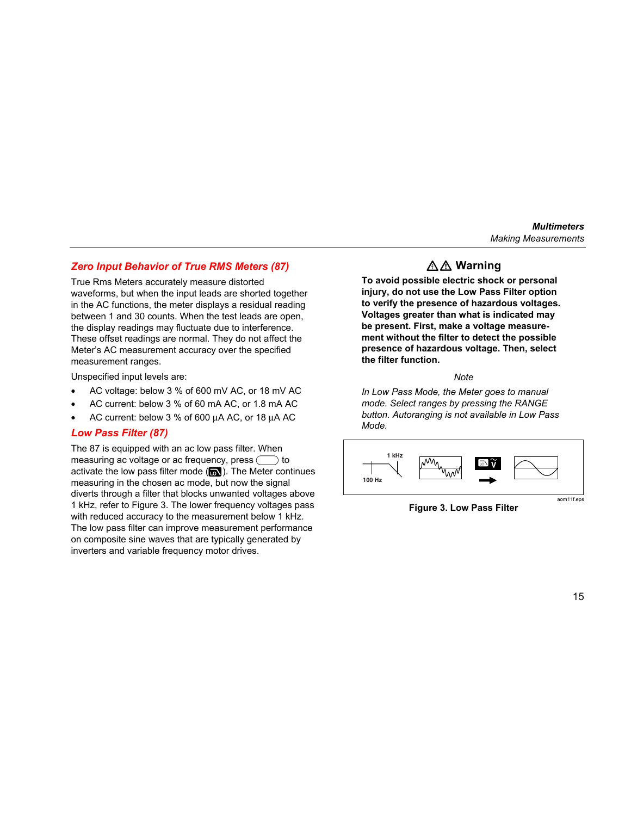#### <span id="page-22-0"></span>*Zero Input Behavior of True RMS Meters (87)*

True Rms Meters accurately measure distorted waveforms, but when the input leads are shorted together in the AC functions, the meter displays a residual reading between 1 and 30 counts. When the test leads are open, the display readings may fluctuate due to interference. These offset readings are normal. They do not affect the Meter's AC measurement accuracy over the specified measurement ranges.

Unspecified input levels are:

- AC voltage: below 3 % of 600 mV AC, or 18 mV AC
- AC current: below 3 % of 60 mA AC, or 1.8 mA AC
- AC current: below 3 % of 600 μA AC, or 18 μA AC

#### *Low Pass Filter (87)*

The 87 is equipped with an ac low pass filter. When measuring ac voltage or ac frequency, press  $\circ$  to activate the low pass filter mode  $(\overline{\mathbf{R}})$ . The Meter continues measuring in the chosen ac mode, but now the signal diverts through a filter that blocks unwanted voltages above 1 kHz, refer to Figure 3. The lower frequency voltages pass with reduced accuracy to the measurement below 1 kHz. The low pass filter can improve measurement performance on composite sine waves that are typically generated by inverters and variable frequency motor drives.

# A **Marning**

**To avoid possible electric shock or personal injury, do not use the Low Pass Filter option to verify the presence of hazardous voltages. Voltages greater than what is indicated may be present. First, make a voltage measurement without the filter to detect the possible presence of hazardous voltage. Then, select the filter function.** 

#### *Note*

*In Low Pass Mode, the Meter goes to manual mode. Select ranges by pressing the RANGE button. Autoranging is not available in Low Pass Mode.* 



**Figure 3. Low Pass Filter** 

aom11f.eps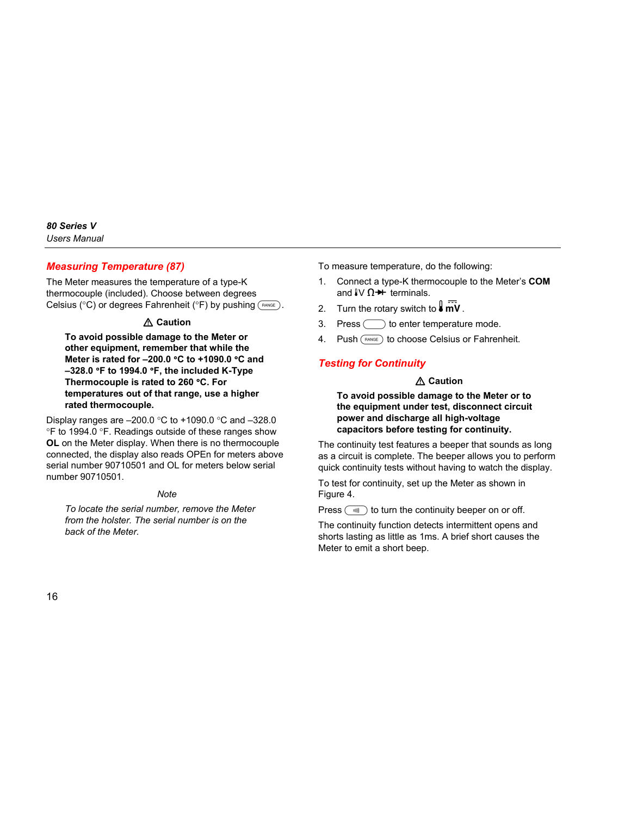#### <span id="page-23-0"></span>*Measuring Temperature (87)*

The Meter measures the temperature of a type-K thermocouple (included). Choose between degrees Celsius (°C) or degrees Fahrenheit (°F) by pushing  $(P^{\text{AMGE}})$ 

#### W **Caution**

**To avoid possible damage to the Meter or other equipment, remember that while the Meter is rated for –200.0** °**C to +1090.0** °**C and –328.0** °**F to 1994.0** °**F, the included K-Type Thermocouple is rated to 260** °**C. For temperatures out of that range, use a higher rated thermocouple.** 

Display ranges are  $-200.0$  °C to  $+1090.0$  °C and  $-328.0$ °F to 1994.0 °F. Readings outside of these ranges show **OL** on the Meter display. When there is no thermocouple connected, the display also reads OPEn for meters above serial number 90710501 and OL for meters below serial number 90710501.

#### *Note*

*To locate the serial number, remove the Meter from the holster. The serial number is on the back of the Meter.* 

To measure temperature, do the following:

- 1. Connect a type-K thermocouple to the Meter's **COM** and  $\mathbb{I} \vee \mathsf{O} \rightarrow \mathsf{H}$  terminals.
- 2. Turn the rotary switch to  $\overrightarrow{mv}$ .
- 3. Press  $\circ$  to enter temperature mode.
- 4. Push  $(P^{AMGE})$  to choose Celsius or Fahrenheit.

#### *Testing for Continuity*

#### W **Caution**

**To avoid possible damage to the Meter or to the equipment under test, disconnect circuit power and discharge all high-voltage capacitors before testing for continuity.** 

The continuity test features a beeper that sounds as long as a circuit is complete. The beeper allows you to perform quick continuity tests without having to watch the display.

To test for continuity, set up the Meter as shown in Figure 4.

Press  $\binom{m}{k}$  to turn the continuity beeper on or off.

The continuity function detects intermittent opens and shorts lasting as little as 1ms. A brief short causes the Meter to emit a short beep.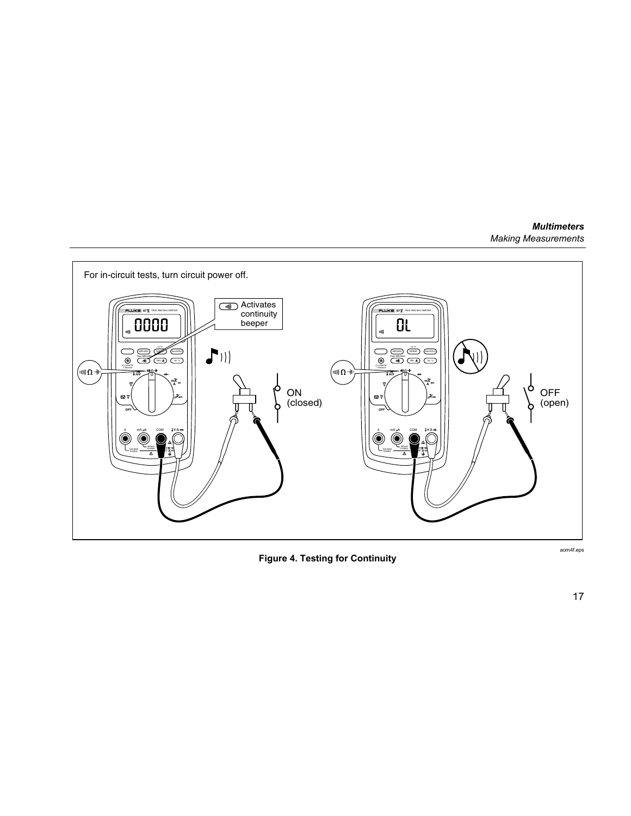<span id="page-24-0"></span>

**Figure 4. Testing for Continuity** 

aom4f.eps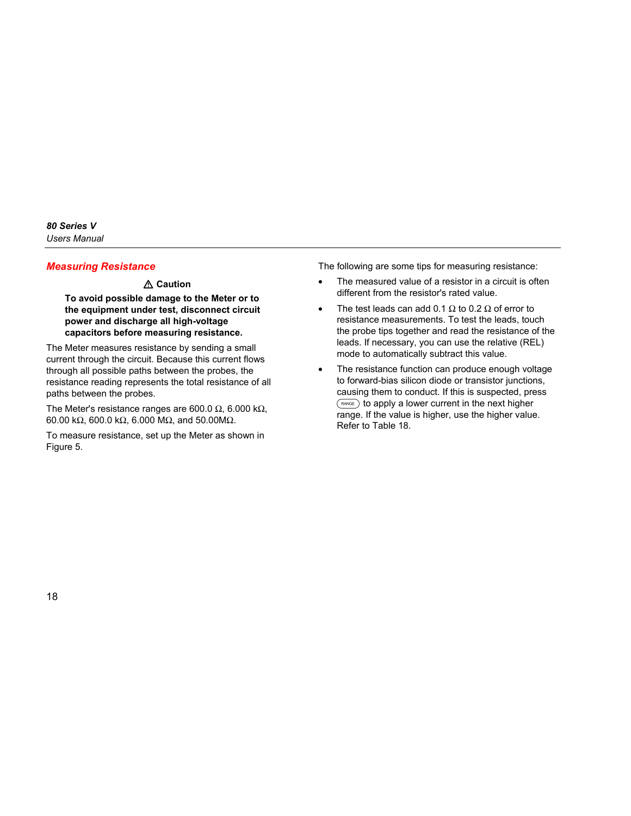#### <span id="page-25-0"></span>*80 Series V Users Manual*

#### *Measuring Resistance*

#### W **Caution**

**To avoid possible damage to the Meter or to the equipment under test, disconnect circuit power and discharge all high-voltage capacitors before measuring resistance.** 

The Meter measures resistance by sending a small current through the circuit. Because this current flows through all possible paths between the probes, the resistance reading represents the total resistance of all paths between the probes.

The Meter's resistance ranges are 600.0  $\Omega$ , 6.000 k $\Omega$ , 60.00 kΩ, 600.0 kΩ, 6.000 MΩ, and 50.00MΩ.

To measure resistance, set up the Meter as shown in Figure 5.

The following are some tips for measuring resistance:

- The measured value of a resistor in a circuit is often different from the resistor's rated value.
- The test leads can add 0.1 Ω to 0.2 Ω of error to resistance measurements. To test the leads, touch the probe tips together and read the resistance of the leads. If necessary, you can use the relative (REL) mode to automatically subtract this value.
- The resistance function can produce enough voltage to forward-bias silicon diode or transistor junctions, causing them to conduct. If this is suspected, press  $(\overline{P_{\text{AMGE}}} )$  to apply a lower current in the next higher range. If the value is higher, use the higher value. Refer to Table 18.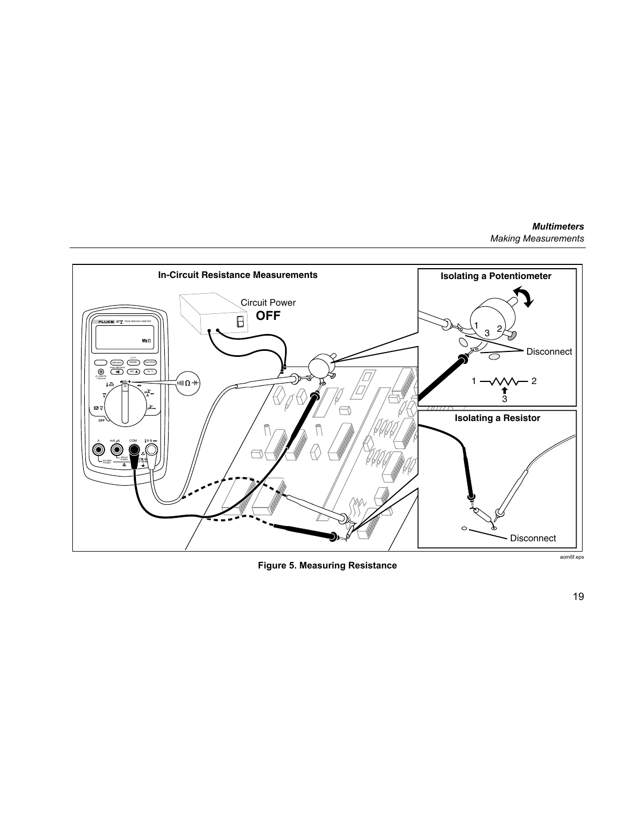<span id="page-26-0"></span>

**Figure 5. Measuring Resistance** 

aom6f.eps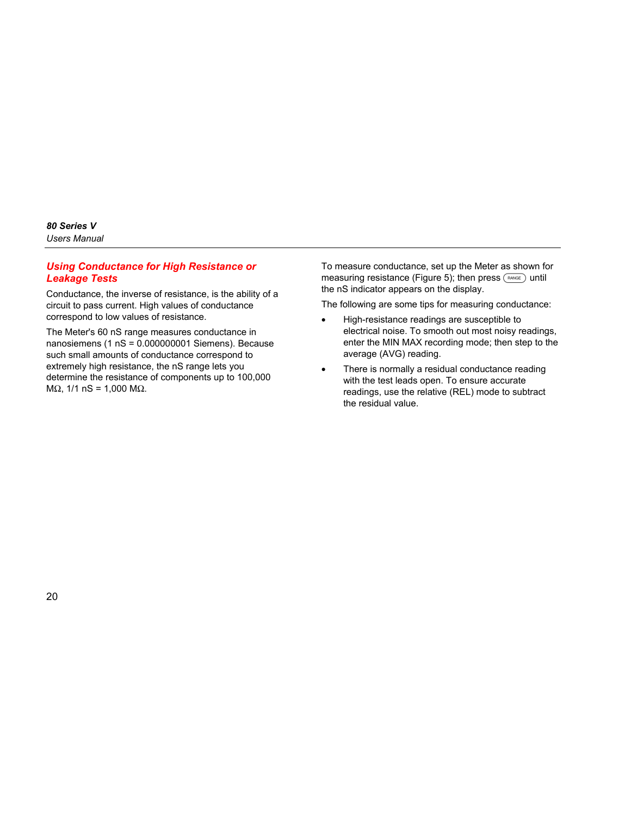#### <span id="page-27-0"></span>*Using Conductance for High Resistance or Leakage Tests*

Conductance, the inverse of resistance, is the ability of a circuit to pass current. High values of conductance correspond to low values of resistance.

The Meter's 60 nS range measures conductance in nanosiemens (1 nS = 0.000000001 Siemens). Because such small amounts of conductance correspond to extremely high resistance, the nS range lets you determine the resistance of components up to 100,000 MΩ,  $1/1$  nS = 1,000 MΩ.

To measure conductance, set up the Meter as shown for measuring resistance (Figure 5); then press  $(F_{\text{PANGE}})$  until the nS indicator appears on the display.

The following are some tips for measuring conductance:

- High-resistance readings are susceptible to electrical noise. To smooth out most noisy readings, enter the MIN MAX recording mode; then step to the average (AVG) reading.
- There is normally a residual conductance reading with the test leads open. To ensure accurate readings, use the relative (REL) mode to subtract the residual value.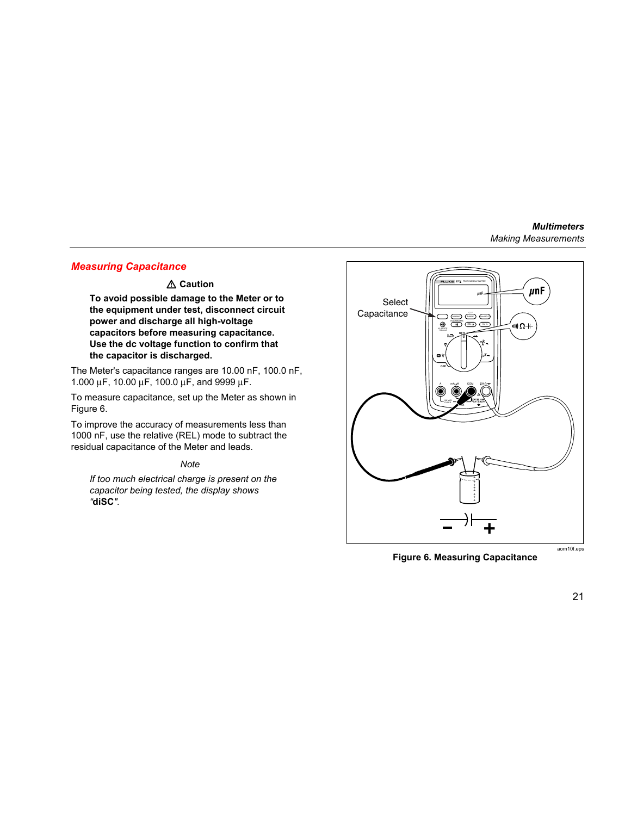#### <span id="page-28-0"></span>*Measuring Capacitance*

#### W **Caution**

**To avoid possible damage to the Meter or to the equipment under test, disconnect circuit power and discharge all high-voltage capacitors before measuring capacitance. Use the dc voltage function to confirm that the capacitor is discharged.** 

The Meter's capacitance ranges are 10.00 nF, 100.0 nF, 1.000 μF, 10.00 μF, 100.0 μF, and 9999 μF.

To measure capacitance, set up the Meter as shown in Figure 6.

To improve the accuracy of measurements less than 1000 nF, use the relative (REL) mode to subtract the residual capacitance of the Meter and leads.

#### *Note*

*If too much electrical charge is present on the capacitor being tested, the display shows "***diSC***".* 



#### **Figure 6. Measuring Capacitance**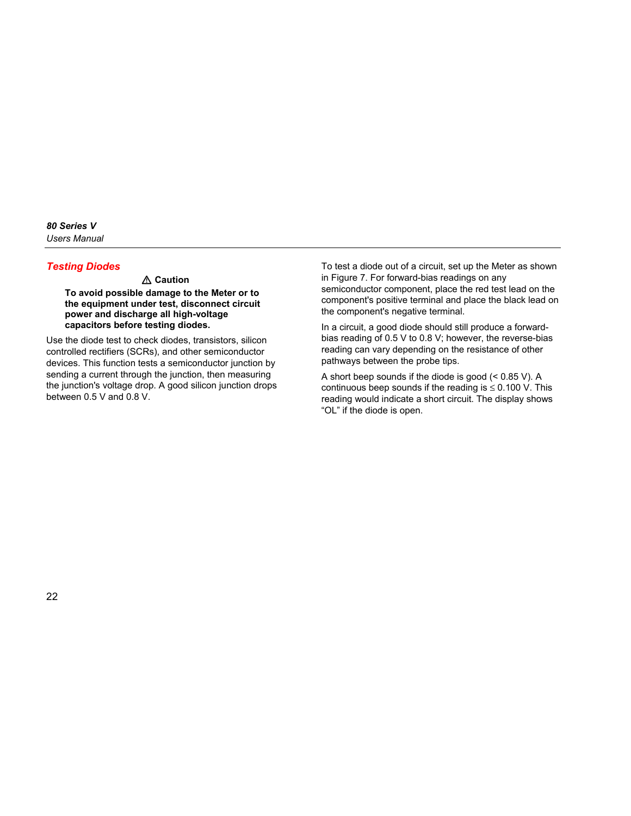#### <span id="page-29-0"></span>*80 Series V Users Manual*

#### *Testing Diodes*

W **Caution To avoid possible damage to the Meter or to the equipment under test, disconnect circuit power and discharge all high-voltage capacitors before testing diodes.** 

Use the diode test to check diodes, transistors, silicon controlled rectifiers (SCRs), and other semiconductor devices. This function tests a semiconductor junction by sending a current through the junction, then measuring the junction's voltage drop. A good silicon junction drops between 0.5 V and 0.8 V.

To test a diode out of a circuit, set up the Meter as shown in Figure 7. For forward-bias readings on any semiconductor component, place the red test lead on the component's positive terminal and place the black lead on the component's negative terminal.

In a circuit, a good diode should still produce a forwardbias reading of 0.5 V to 0.8 V; however, the reverse-bias reading can vary depending on the resistance of other pathways between the probe tips.

A short beep sounds if the diode is good (< 0.85 V). A continuous beep sounds if the reading is  $\leq 0.100$  V. This reading would indicate a short circuit. The display shows "OL" if the diode is open.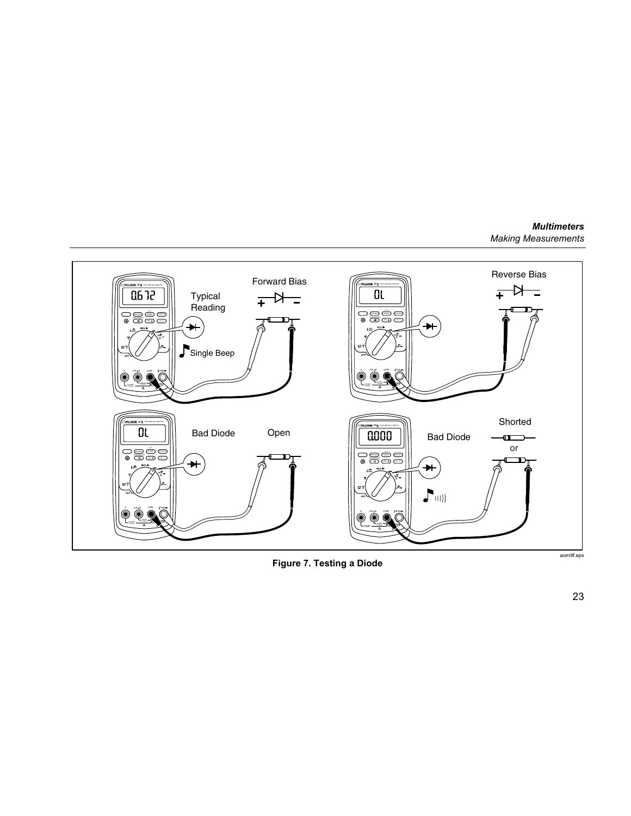<span id="page-30-0"></span>

**Figure 7. Testing a Diode** 

aom9f.eps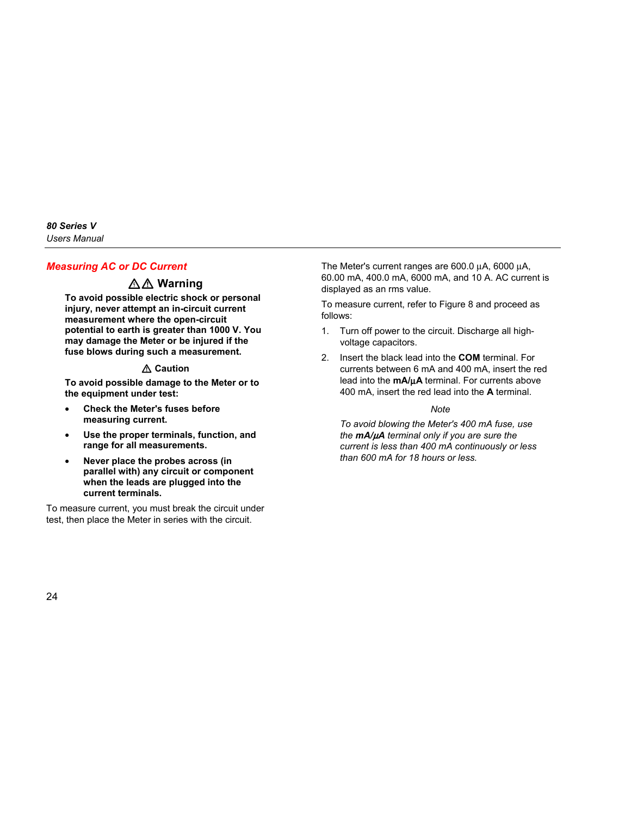#### <span id="page-31-0"></span>*80 Series V Users Manual*

#### *Measuring AC or DC Current*

# A **Marning**

**To avoid possible electric shock or personal injury, never attempt an in-circuit current measurement where the open-circuit potential to earth is greater than 1000 V. You may damage the Meter or be injured if the fuse blows during such a measurement.** 

#### W **Caution**

**To avoid possible damage to the Meter or to the equipment under test:** 

- **Check the Meter's fuses before measuring current.**
- **Use the proper terminals, function, and range for all measurements.**
- **Never place the probes across (in parallel with) any circuit or component when the leads are plugged into the current terminals.**

To measure current, you must break the circuit under test, then place the Meter in series with the circuit.

The Meter's current ranges are 600.0 μA, 6000 μA, 60.00 mA, 400.0 mA, 6000 mA, and 10 A. AC current is displayed as an rms value.

To measure current, refer to Figure 8 and proceed as follows:

- 1. Turn off power to the circuit. Discharge all highvoltage capacitors.
- 2. Insert the black lead into the **COM** terminal. For currents between 6 mA and 400 mA, insert the red lead into the **mA/**μ**A** terminal. For currents above 400 mA, insert the red lead into the **A** terminal.

#### *Note*

*To avoid blowing the Meter's 400 mA fuse, use the mA/*μ*A terminal only if you are sure the current is less than 400 mA continuously or less than 600 mA for 18 hours or less.*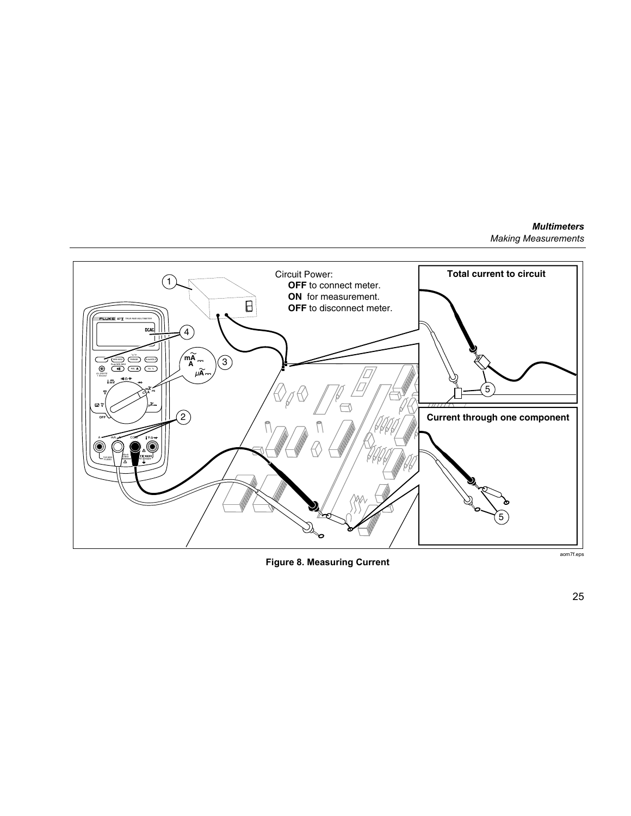<span id="page-32-0"></span>

**Figure 8. Measuring Current** 

aom7f.eps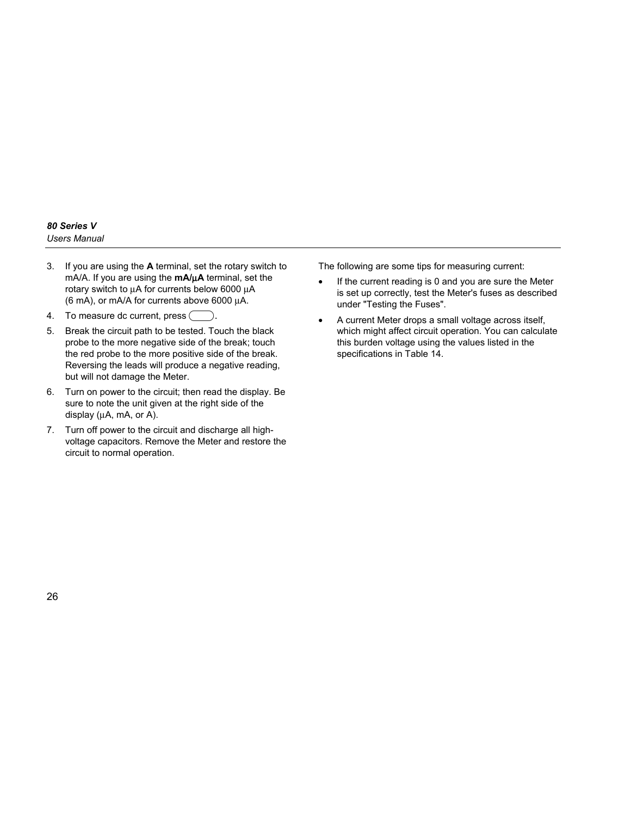#### *80 Series V Users Manual*

- 3. If you are using the **A** terminal, set the rotary switch to mA/A. If you are using the **mA/**μ**A** terminal, set the rotary switch to μA for currents below 6000 μA (6 mA), or mA/A for currents above 6000 μA.
- 4. To measure dc current, press (
- 5. Break the circuit path to be tested. Touch the black probe to the more negative side of the break; touch the red probe to the more positive side of the break. Reversing the leads will produce a negative reading, but will not damage the Meter.
- 6. Turn on power to the circuit; then read the display. Be sure to note the unit given at the right side of the display (μA, mA, or A).
- 7. Turn off power to the circuit and discharge all highvoltage capacitors. Remove the Meter and restore the circuit to normal operation.

The following are some tips for measuring current:

- If the current reading is 0 and you are sure the Meter is set up correctly, test the Meter's fuses as described under "Testing the Fuses".
- A current Meter drops a small voltage across itself, which might affect circuit operation. You can calculate this burden voltage using the values listed in the specifications in Table 14.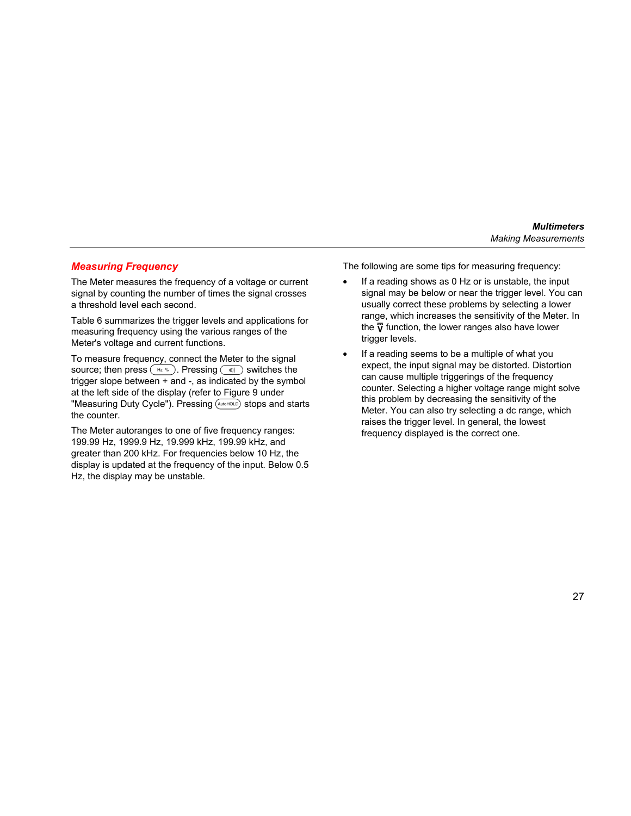#### <span id="page-34-0"></span>*Measuring Frequency*

The Meter measures the frequency of a voltage or current signal by counting the number of times the signal crosses a threshold level each second.

Table 6 summarizes the trigger levels and applications for measuring frequency using the various ranges of the Meter's voltage and current functions.

To measure frequency, connect the Meter to the signal source; then press  $(F_{HZ}$ <sub>2%</sub>). Pressing  $(F_{HZ}$  switches the trigger slope between  $+$  and  $-$ , as indicated by the symbol at the left side of the display (refer to Figure 9 under "Measuring Duty Cycle"). Pressing  $(Autot ACD)$  stops and starts the counter.

The Meter autoranges to one of five frequency ranges: 199.99 Hz, 1999.9 Hz, 19.999 kHz, 199.99 kHz, and greater than 200 kHz. For frequencies below 10 Hz, the display is updated at the frequency of the input. Below 0.5 Hz, the display may be unstable.

The following are some tips for measuring frequency:

- If a reading shows as 0 Hz or is unstable, the input signal may be below or near the trigger level. You can usually correct these problems by selecting a lower range, which increases the sensitivity of the Meter. In the  $\overline{v}$  function, the lower ranges also have lower trigger levels.
- If a reading seems to be a multiple of what you expect, the input signal may be distorted. Distortion can cause multiple triggerings of the frequency counter. Selecting a higher voltage range might solve this problem by decreasing the sensitivity of the Meter. You can also try selecting a dc range, which raises the trigger level. In general, the lowest frequency displayed is the correct one.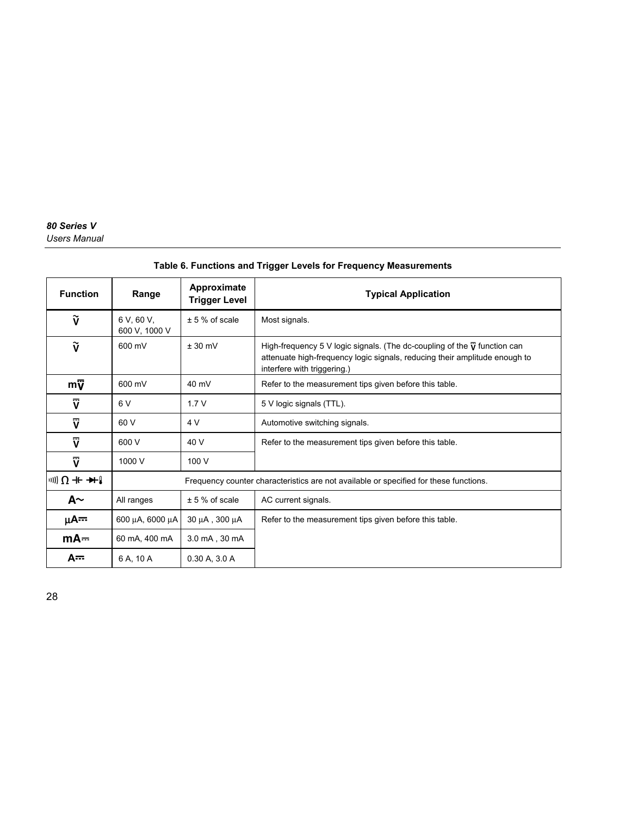|  |  |  |  |  | Table 6. Functions and Trigger Levels for Frequency Measurements |
|--|--|--|--|--|------------------------------------------------------------------|
|--|--|--|--|--|------------------------------------------------------------------|

<span id="page-35-0"></span>

| <b>Function</b>                        | Range                       | Approximate<br><b>Trigger Level</b> | <b>Typical Application</b>                                                                                                                                                                         |
|----------------------------------------|-----------------------------|-------------------------------------|----------------------------------------------------------------------------------------------------------------------------------------------------------------------------------------------------|
| ũ                                      | 6 V, 60 V,<br>600 V, 1000 V | $± 5%$ of scale                     | Most signals.                                                                                                                                                                                      |
| ũ                                      | 600 mV                      | $± 30$ mV                           | High-frequency 5 V logic signals. (The dc-coupling of the $\overline{v}$ function can<br>attenuate high-frequency logic signals, reducing their amplitude enough to<br>interfere with triggering.) |
| mv                                     | 600 mV                      | $40 \text{ mV}$                     | Refer to the measurement tips given before this table.                                                                                                                                             |
| $\overline{\mathbf{v}}$                | 6V                          | 1.7V                                | 5 V logic signals (TTL).                                                                                                                                                                           |
| $\overline{\mathbf{v}}$                | 60 V                        | 4 V                                 | Automotive switching signals.                                                                                                                                                                      |
| $\overline{\mathbf{v}}$                | 600 V                       | 40 V                                | Refer to the measurement tips given before this table.                                                                                                                                             |
| $\overline{\mathbf{v}}$                | 1000 V                      | 100 V                               |                                                                                                                                                                                                    |
| $\ket{m}$ $\Omega$ -H- $\rightarrow$ H |                             |                                     | Frequency counter characteristics are not available or specified for these functions.                                                                                                              |
| A $\sim$                               | All ranges                  | $± 5%$ of scale                     | AC current signals.                                                                                                                                                                                |
| $\mu$ A $\equiv$                       | 600 µA, 6000 µA             | 30 µA, 300 µA                       | Refer to the measurement tips given before this table.                                                                                                                                             |
| $mA =$                                 | 60 mA, 400 mA               | 3.0 mA, 30 mA                       |                                                                                                                                                                                                    |
| A≖                                     | 6 A, 10 A                   | 0.30 A, 3.0 A                       |                                                                                                                                                                                                    |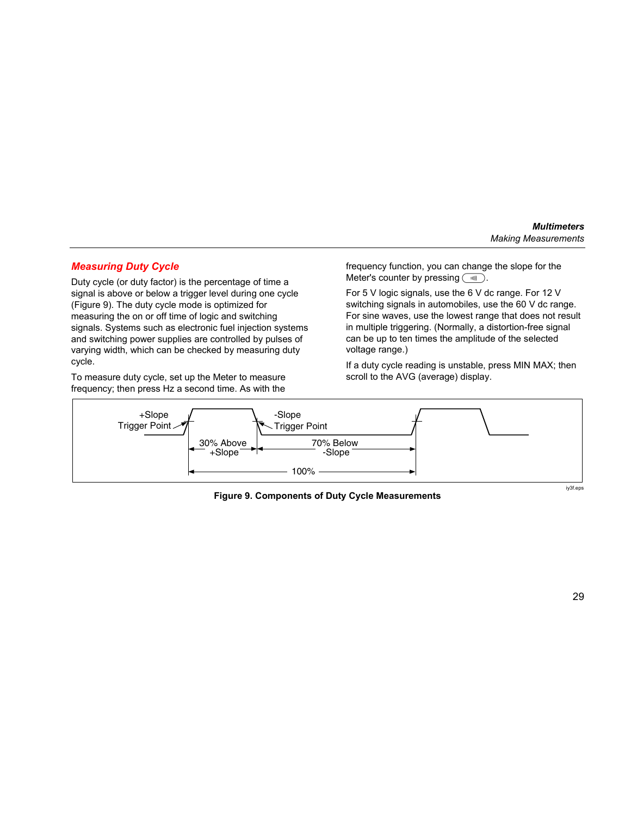#### <span id="page-36-0"></span>*Measuring Duty Cycle*

Duty cycle (or duty factor) is the percentage of time a signal is above or below a trigger level during one cycle (Figure 9). The duty cycle mode is optimized for measuring the on or off time of logic and switching signals. Systems such as electronic fuel injection systems and switching power supplies are controlled by pulses of varying width, which can be checked by measuring duty cycle.

To measure duty cycle, set up the Meter to measure frequency; then press Hz a second time. As with the

frequency function, you can change the slope for the Meter's counter by pressing  $(\Box)$ .

For 5 V logic signals, use the 6 V dc range. For 12 V switching signals in automobiles, use the 60 V dc range. For sine waves, use the lowest range that does not result in multiple triggering. (Normally, a distortion-free signal can be up to ten times the amplitude of the selected voltage range.)

If a duty cycle reading is unstable, press MIN MAX; then scroll to the AVG (average) display.



**Figure 9. Components of Duty Cycle Measurements** 

iy3f.eps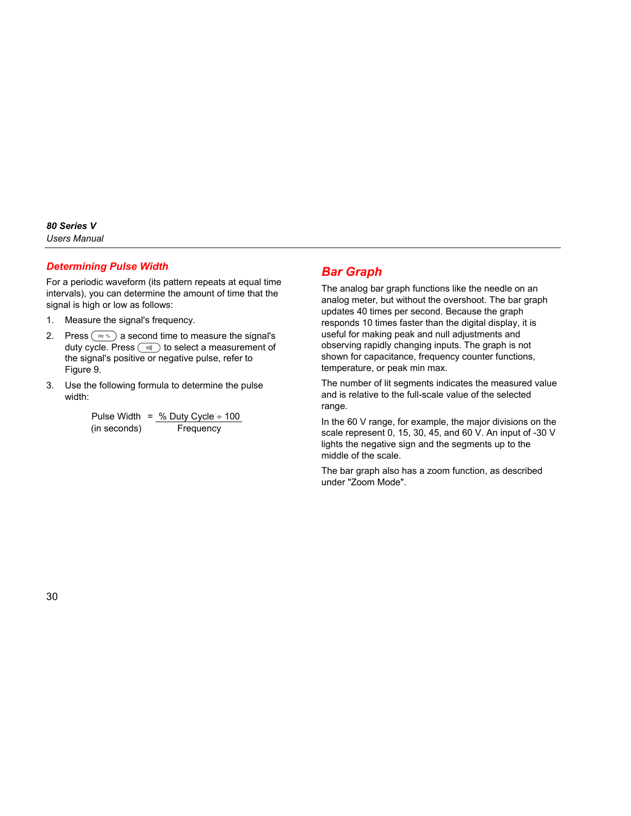#### <span id="page-37-0"></span>*Determining Pulse Width*

For a periodic waveform (its pattern repeats at equal time intervals), you can determine the amount of time that the signal is high or low as follows:

- 1. Measure the signal's frequency.
- 2. Press  $\left(\begin{array}{c} H_{\mathbb{Z}}\right)^*$  a second time to measure the signal's duty cycle. Press  $\binom{m}{k}$  to select a measurement of the signal's positive or negative pulse, refer to Figure 9.
- 3. Use the following formula to determine the pulse width:

Pulse Width =  $%$  Duty Cycle  $\div$  100 (in seconds) Frequency

# *Bar Graph*

The analog bar graph functions like the needle on an analog meter, but without the overshoot. The bar graph updates 40 times per second. Because the graph responds 10 times faster than the digital display, it is useful for making peak and null adjustments and observing rapidly changing inputs. The graph is not shown for capacitance, frequency counter functions, temperature, or peak min max.

The number of lit segments indicates the measured value and is relative to the full-scale value of the selected range.

In the 60 V range, for example, the major divisions on the scale represent 0, 15, 30, 45, and 60 V. An input of -30 V lights the negative sign and the segments up to the middle of the scale.

The bar graph also has a zoom function, as described under "Zoom Mode".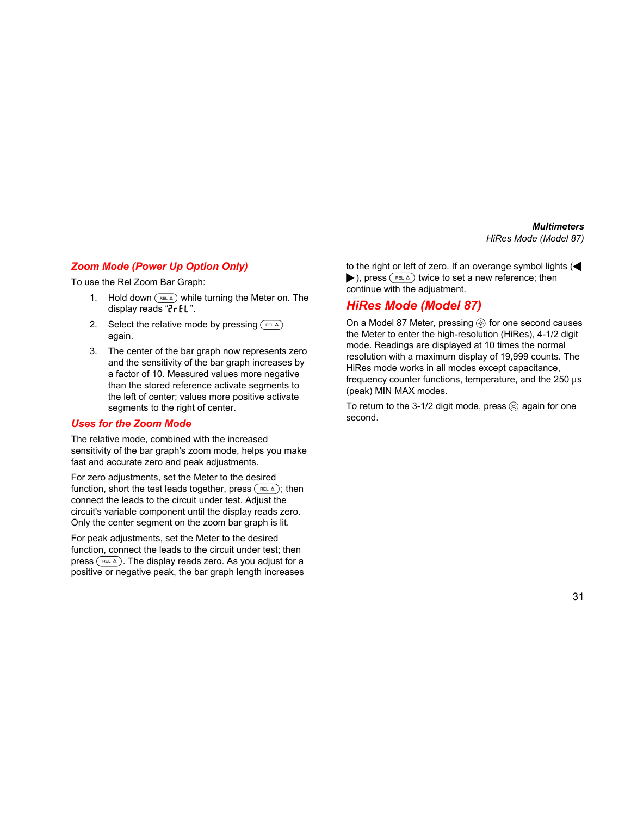#### <span id="page-38-0"></span>*Zoom Mode (Power Up Option Only)*

To use the Rel Zoom Bar Graph:

- 1. Hold down  $(FEL \triangle)$  while turning the Meter on. The display reads "2rEL".
- 2. Select the relative mode by pressing  $\left(\begin{smallmatrix} 1 & \mathbb{R}^d \end{smallmatrix}\right)$ again.
- 3. The center of the bar graph now represents zero and the sensitivity of the bar graph increases by a factor of 10. Measured values more negative than the stored reference activate segments to the left of center; values more positive activate segments to the right of center.

#### *Uses for the Zoom Mode*

The relative mode, combined with the increased sensitivity of the bar graph's zoom mode, helps you make fast and accurate zero and peak adjustments.

For zero adjustments, set the Meter to the desired function, short the test leads together, press  $(FEL \Delta)$ ; then connect the leads to the circuit under test. Adjust the circuit's variable component until the display reads zero. Only the center segment on the zoom bar graph is lit.

For peak adjustments, set the Meter to the desired function, connect the leads to the circuit under test; then press  $(FEL \Delta)$ . The display reads zero. As you adjust for a positive or negative peak, the bar graph length increases to the right or left of zero. If an overange symbol lights  $($  $\blacktriangleright$ ), press  $\binom{n_{\text{EL}}\Delta}{n_{\text{EL}}}$  twice to set a new reference; then continue with the adjustment.

# *HiRes Mode (Model 87)*

On a Model 87 Meter, pressing  $\circledast$  for one second causes the Meter to enter the high-resolution (HiRes), 4-1/2 digit mode. Readings are displayed at 10 times the normal resolution with a maximum display of 19,999 counts. The HiRes mode works in all modes except capacitance, frequency counter functions, temperature, and the 250 μs (peak) MIN MAX modes.

To return to the 3-1/2 digit mode, press  $\circledcirc$  again for one second.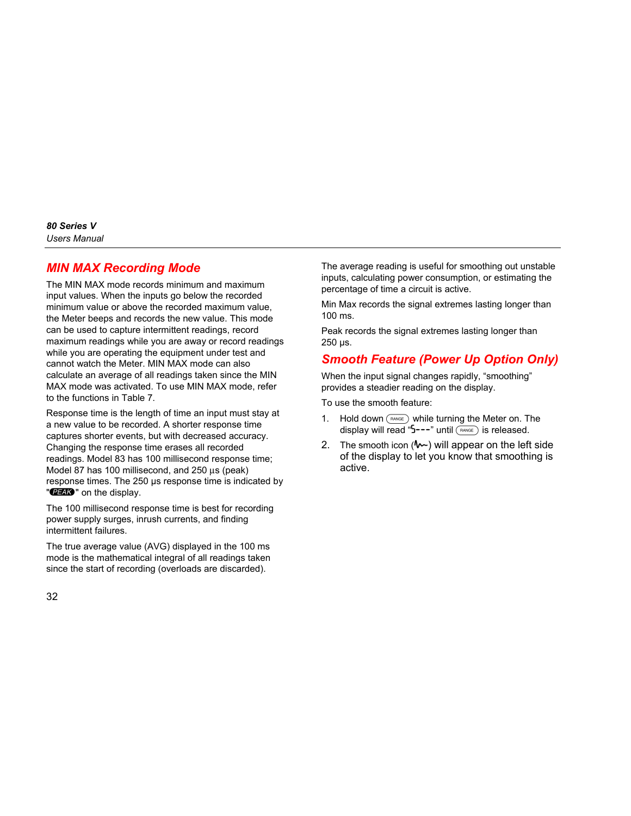# <span id="page-39-0"></span>*MIN MAX Recording Mode*

The MIN MAX mode records minimum and maximum input values. When the inputs go below the recorded minimum value or above the recorded maximum value, the Meter beeps and records the new value. This mode can be used to capture intermittent readings, record maximum readings while you are away or record readings while you are operating the equipment under test and cannot watch the Meter. MIN MAX mode can also calculate an average of all readings taken since the MIN MAX mode was activated. To use MIN MAX mode, refer to the functions in Table 7.

Response time is the length of time an input must stay at a new value to be recorded. A shorter response time captures shorter events, but with decreased accuracy. Changing the response time erases all recorded readings. Model 83 has 100 millisecond response time; Model 87 has 100 millisecond, and 250 μs (peak) response times. The 250 µs response time is indicated by "**PEAK**" on the display.

The 100 millisecond response time is best for recording power supply surges, inrush currents, and finding intermittent failures.

The true average value (AVG) displayed in the 100 ms mode is the mathematical integral of all readings taken since the start of recording (overloads are discarded).

The average reading is useful for smoothing out unstable inputs, calculating power consumption, or estimating the percentage of time a circuit is active.

Min Max records the signal extremes lasting longer than 100 ms.

Peak records the signal extremes lasting longer than 250 µs.

# *Smooth Feature (Power Up Option Only)*

When the input signal changes rapidly, "smoothing" provides a steadier reading on the display.

To use the smooth feature:

- 1. Hold down  $(P_{AMOE})$  while turning the Meter on. The display will read " $5$ ---" until  $(\overline{r_{\text{AMGE}}})$  is released.
- 2. The smooth icon ( $\mathbf{w}$ ) will appear on the left side of the display to let you know that smoothing is active.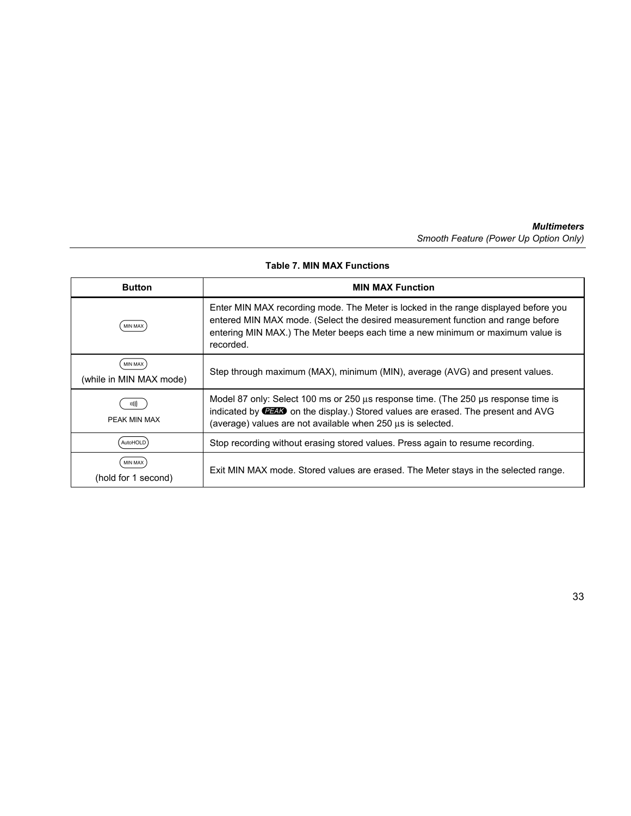#### **Table 7. MIN MAX Functions**

<span id="page-40-0"></span>

| <b>Button</b>                             | <b>MIN MAX Function</b>                                                                                                                                                                                                                                               |
|-------------------------------------------|-----------------------------------------------------------------------------------------------------------------------------------------------------------------------------------------------------------------------------------------------------------------------|
| <b>MIN MAX</b>                            | Enter MIN MAX recording mode. The Meter is locked in the range displayed before you<br>entered MIN MAX mode. (Select the desired measurement function and range before<br>entering MIN MAX.) The Meter beeps each time a new minimum or maximum value is<br>recorded. |
| <b>MIN MAX</b><br>(while in MIN MAX mode) | Step through maximum (MAX), minimum (MIN), average (AVG) and present values.                                                                                                                                                                                          |
| PEAK MIN MAX                              | Model 87 only: Select 100 ms or 250 µs response time. (The 250 µs response time is<br>indicated by <b>1220</b> on the display.) Stored values are erased. The present and AVG<br>(average) values are not available when $250 \mu s$ is selected.                     |
| AutoHOLD                                  | Stop recording without erasing stored values. Press again to resume recording.                                                                                                                                                                                        |
| <b>MIN MAX</b><br>(hold for 1 second)     | Exit MIN MAX mode. Stored values are erased. The Meter stays in the selected range.                                                                                                                                                                                   |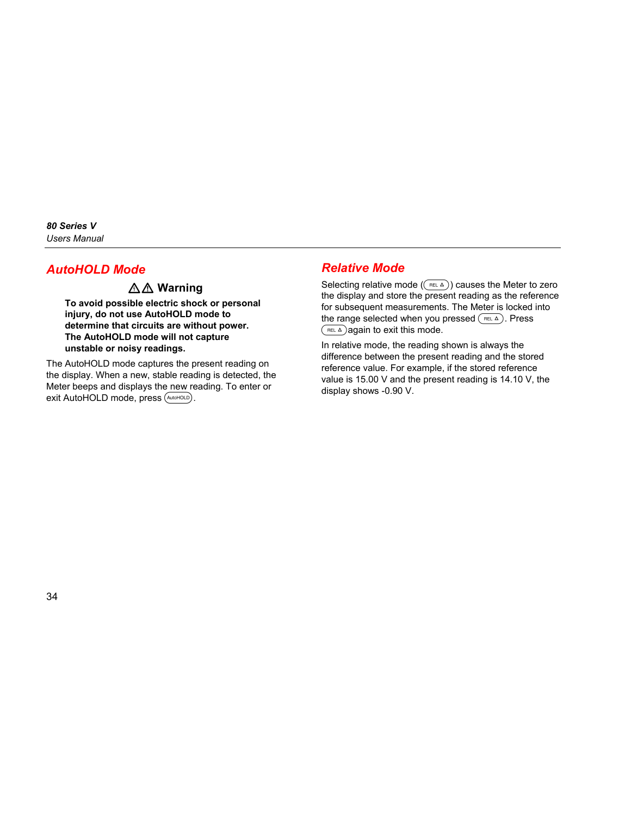# <span id="page-41-0"></span>*AutoHOLD Mode*

# XW **Warning**

**To avoid possible electric shock or personal injury, do not use AutoHOLD mode to determine that circuits are without power. The AutoHOLD mode will not capture unstable or noisy readings.** 

The AutoHOLD mode captures the present reading on the display. When a new, stable reading is detected, the Meter beeps and displays the new reading. To enter or exit AutoHOLD mode, press (AutoHOLD)

# *Relative Mode*

Selecting relative mode ( $(\overline{REL\Delta})$ ) causes the Meter to zero the display and store the present reading as the reference for subsequent measurements. The Meter is locked into the range selected when you pressed (REL A). Press  $(m_{\text{BL A}})$ again to exit this mode.

In relative mode, the reading shown is always the difference between the present reading and the stored reference value. For example, if the stored reference value is 15.00 V and the present reading is 14.10 V, the display shows -0.90 V.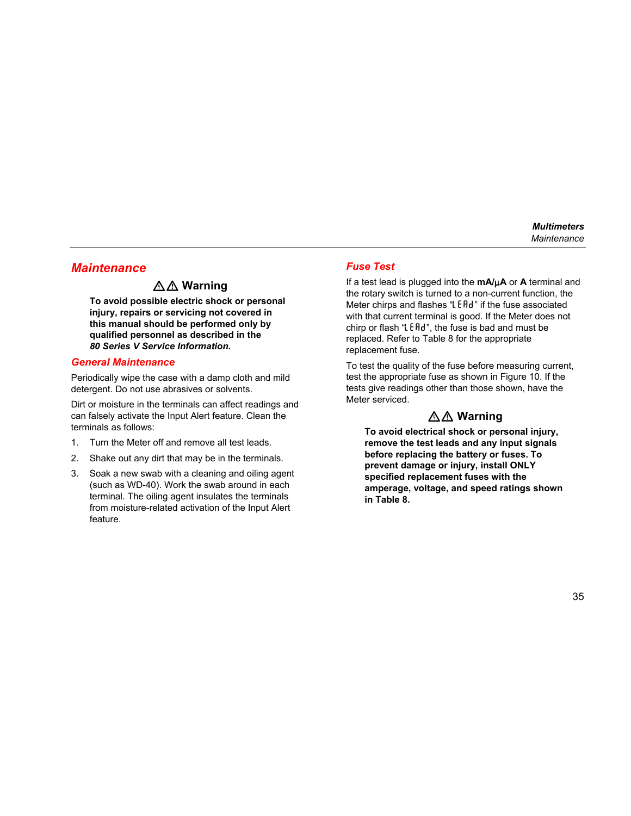## <span id="page-42-0"></span>*Maintenance*

# A **Marning**

**To avoid possible electric shock or personal injury, repairs or servicing not covered in this manual should be performed only by qualified personnel as described in the**  *80 Series V Service Information***.** 

#### *General Maintenance*

Periodically wipe the case with a damp cloth and mild detergent. Do not use abrasives or solvents.

Dirt or moisture in the terminals can affect readings and can falsely activate the Input Alert feature. Clean the terminals as follows:

- 1. Turn the Meter off and remove all test leads.
- 2. Shake out any dirt that may be in the terminals.
- 3. Soak a new swab with a cleaning and oiling agent (such as WD-40). Work the swab around in each terminal. The oiling agent insulates the terminals from moisture-related activation of the Input Alert feature.

#### *Fuse Test*

If a test lead is plugged into the **mA/**μ**A** or **A** terminal and the rotary switch is turned to a non-current function, the Meter chirps and flashes "LE Ad" if the fuse associated with that current terminal is good. If the Meter does not chirp or flash " $L$  E  $Hd$ ", the fuse is bad and must be replaced. Refer to Table 8 for the appropriate replacement fuse.

To test the quality of the fuse before measuring current, test the appropriate fuse as shown in Figure 10. If the tests give readings other than those shown, have the Meter serviced.

# A **Marning**

**To avoid electrical shock or personal injury, remove the test leads and any input signals before replacing the battery or fuses. To prevent damage or injury, install ONLY specified replacement fuses with the amperage, voltage, and speed ratings shown in Table 8.**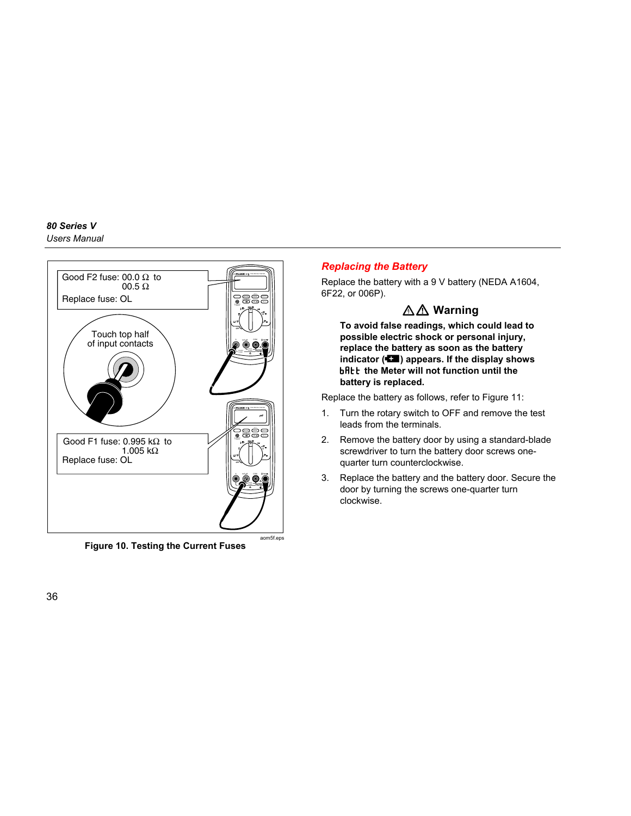<span id="page-43-0"></span>

**Figure 10. Testing the Current Fuses** 

#### *Replacing the Battery*

Replace the battery with a 9 V battery (NEDA A1604, 6F22, or 006P).

# **△△** Warning

**To avoid false readings, which could lead to possible electric shock or personal injury, replace the battery as soon as the battery indicator (**b**) appears. If the display shows**  bAtt **the Meter will not function until the battery is replaced.** 

Replace the battery as follows, refer to Figure 11:

- 1. Turn the rotary switch to OFF and remove the test leads from the terminals.
- 2. Remove the battery door by using a standard-blade screwdriver to turn the battery door screws onequarter turn counterclockwise.
- 3. Replace the battery and the battery door. Secure the door by turning the screws one-quarter turn clockwise.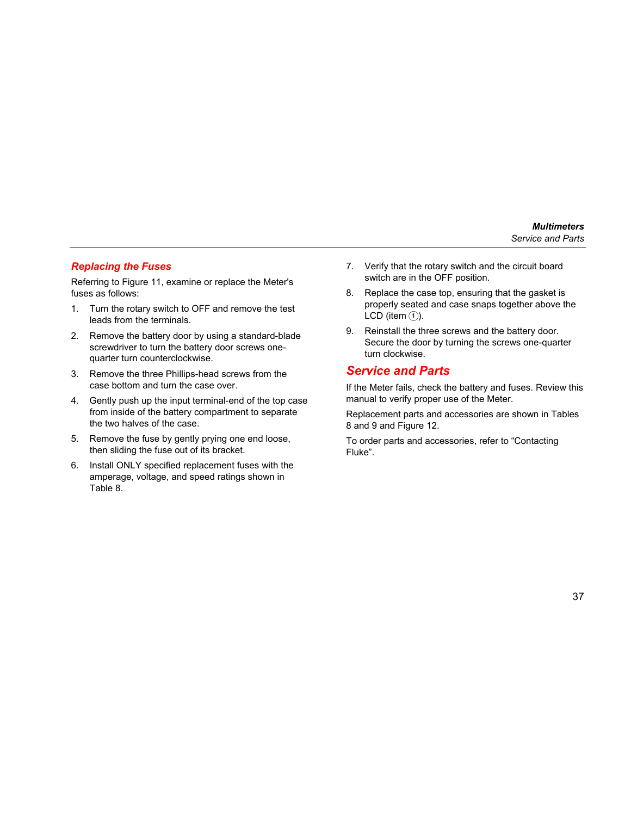#### <span id="page-44-0"></span>*Replacing the Fuses*

Referring to Figure 11, examine or replace the Meter's fuses as follows:

- 1. Turn the rotary switch to OFF and remove the test leads from the terminals.
- 2. Remove the battery door by using a standard-blade screwdriver to turn the battery door screws onequarter turn counterclockwise.
- 3. Remove the three Phillips-head screws from the case bottom and turn the case over.
- 4. Gently push up the input terminal-end of the top case from inside of the battery compartment to separate the two halves of the case.
- 5. Remove the fuse by gently prying one end loose, then sliding the fuse out of its bracket.
- 6. Install ONLY specified replacement fuses with the amperage, voltage, and speed ratings shown in Table 8.
- 7. Verify that the rotary switch and the circuit board switch are in the OFF position.
- 8. Replace the case top, ensuring that the gasket is properly seated and case snaps together above the LCD (item  $(i)$ ).
- 9. Reinstall the three screws and the battery door. Secure the door by turning the screws one-quarter turn clockwise.

# *Service and Parts*

If the Meter fails, check the battery and fuses. Review this manual to verify proper use of the Meter.

Replacement parts and accessories are shown in Tables 8 and 9 and Figure 12.

To order parts and accessories, refer to "Contacting Fluke".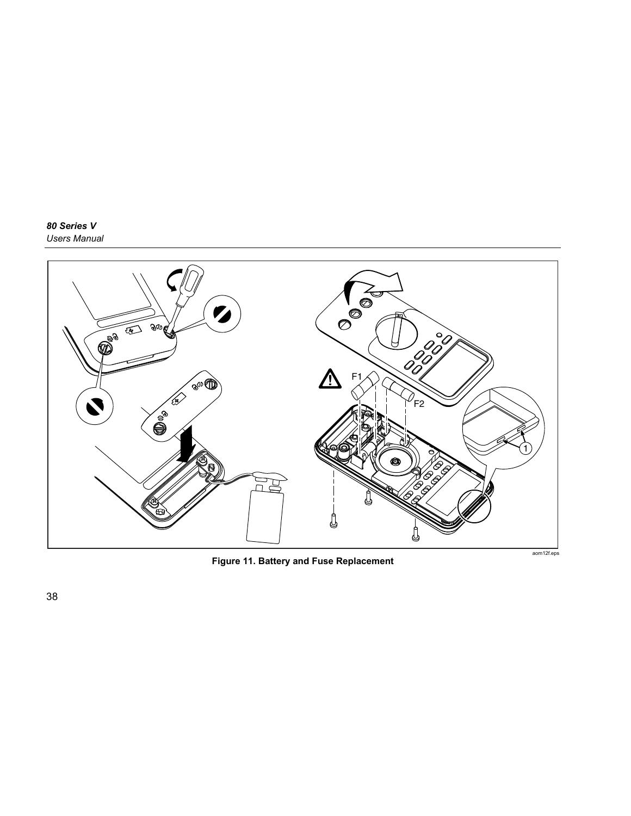<span id="page-45-0"></span>

**Figure 11. Battery and Fuse Replacement**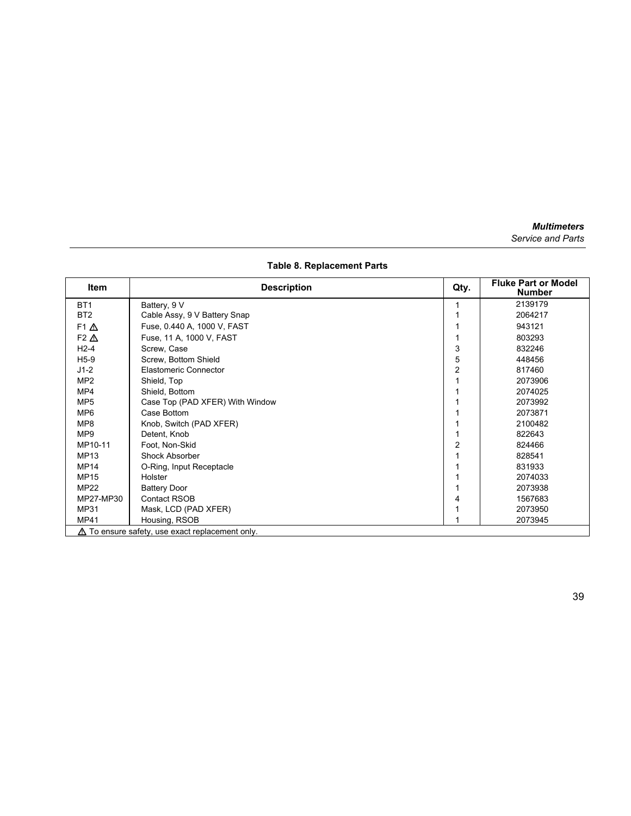<span id="page-46-0"></span>

| <b>Item</b>                | <b>Description</b>                                        | Qty. | <b>Fluke Part or Model</b><br><b>Number</b> |
|----------------------------|-----------------------------------------------------------|------|---------------------------------------------|
| BT <sub>1</sub>            | Battery, 9 V                                              |      | 2139179                                     |
| BT <sub>2</sub>            | Cable Assy, 9 V Battery Snap                              |      | 2064217                                     |
| $F1 \triangle$             | Fuse, 0.440 A, 1000 V, FAST                               |      | 943121                                      |
| F <sub>2</sub> $\triangle$ | Fuse, 11 A, 1000 V, FAST                                  |      | 803293                                      |
| $H2-4$                     | Screw, Case                                               | 3    | 832246                                      |
| $H5-9$                     | Screw, Bottom Shield                                      | 5    | 448456                                      |
| $J1-2$                     | Elastomeric Connector                                     | 2    | 817460                                      |
| MP <sub>2</sub>            | Shield, Top                                               |      | 2073906                                     |
| MP4                        | Shield, Bottom                                            |      | 2074025                                     |
| MP <sub>5</sub>            | Case Top (PAD XFER) With Window                           |      | 2073992                                     |
| MP <sub>6</sub>            | Case Bottom                                               |      | 2073871                                     |
| MP8                        | Knob, Switch (PAD XFER)                                   |      | 2100482                                     |
| MP9                        | Detent, Knob                                              |      | 822643                                      |
| MP10-11                    | Foot, Non-Skid                                            |      | 824466                                      |
| <b>MP13</b>                | Shock Absorber                                            |      | 828541                                      |
| <b>MP14</b>                | O-Ring, Input Receptacle                                  |      | 831933                                      |
| <b>MP15</b>                | Holster                                                   |      | 2074033                                     |
| <b>MP22</b>                | <b>Battery Door</b>                                       |      | 2073938                                     |
| MP27-MP30                  | <b>Contact RSOB</b>                                       |      | 1567683                                     |
| <b>MP31</b>                | Mask, LCD (PAD XFER)                                      |      | 2073950                                     |
| <b>MP41</b>                | Housing, RSOB                                             |      | 2073945                                     |
|                            | $\triangle$ To ensure safety, use exact replacement only. |      |                                             |

#### **Table 8. Replacement Parts**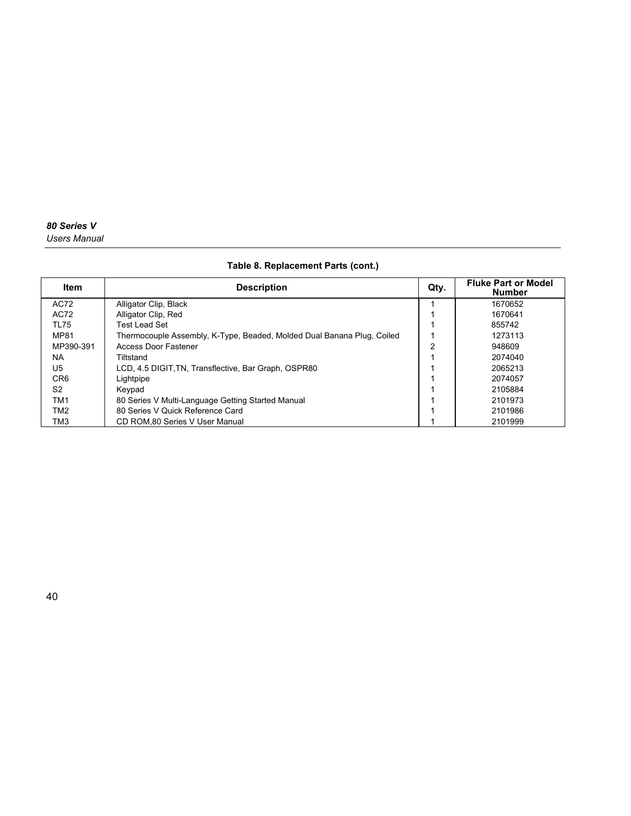|  | Table 8. Replacement Parts (cont.) |  |  |
|--|------------------------------------|--|--|
|--|------------------------------------|--|--|

| Item            | <b>Description</b>                                                     | Qty. | <b>Fluke Part or Model</b><br><b>Number</b> |
|-----------------|------------------------------------------------------------------------|------|---------------------------------------------|
| AC72            | Alligator Clip, Black                                                  |      | 1670652                                     |
| AC72            | Alligator Clip, Red                                                    |      | 1670641                                     |
| <b>TL75</b>     | Test Lead Set                                                          |      | 855742                                      |
| MP81            | Thermocouple Assembly, K-Type, Beaded, Molded Dual Banana Plug, Coiled |      | 1273113                                     |
| MP390-391       | Access Door Fastener                                                   | 2    | 948609                                      |
| <b>NA</b>       | Tiltstand                                                              |      | 2074040                                     |
| U5              | LCD, 4.5 DIGIT, TN, Transflective, Bar Graph, OSPR80                   |      | 2065213                                     |
| CR <sub>6</sub> | Lightpipe                                                              |      | 2074057                                     |
| S <sub>2</sub>  | Keypad                                                                 |      | 2105884                                     |
| TM1             | 80 Series V Multi-Language Getting Started Manual                      |      | 2101973                                     |
| TM <sub>2</sub> | 80 Series V Quick Reference Card                                       |      | 2101986                                     |
| TM3             | CD ROM, 80 Series V User Manual                                        |      | 2101999                                     |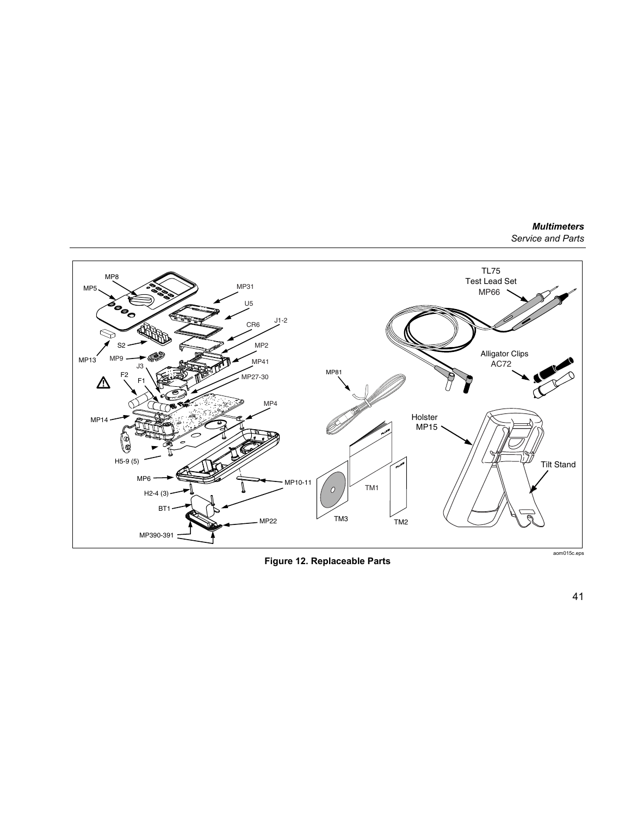<span id="page-48-0"></span>

**Figure 12. Replaceable Parts** 

41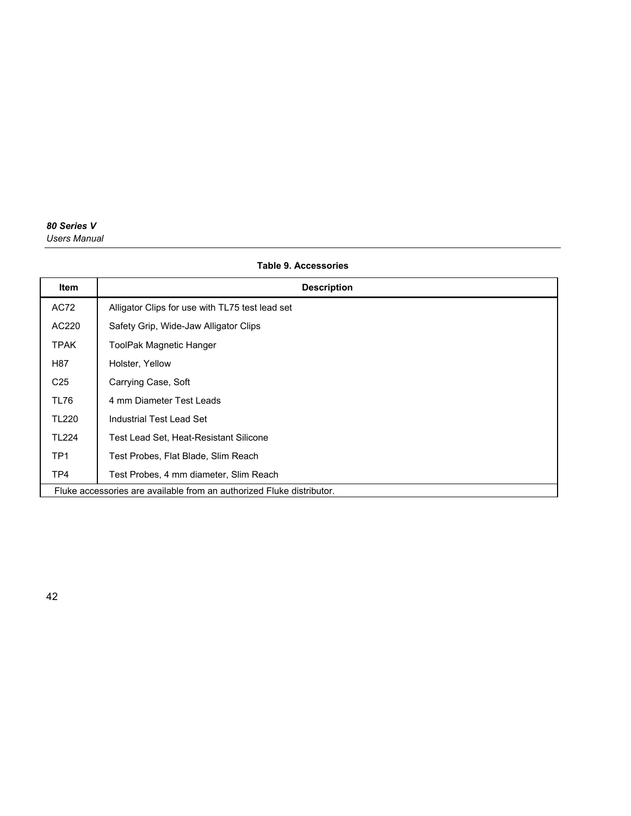#### **Table 9. Accessories**

<span id="page-49-0"></span>

| <b>Item</b>     | <b>Description</b>                                                    |
|-----------------|-----------------------------------------------------------------------|
| AC72            | Alligator Clips for use with TL75 test lead set                       |
| AC220           | Safety Grip, Wide-Jaw Alligator Clips                                 |
| <b>TPAK</b>     | ToolPak Magnetic Hanger                                               |
| H87             | Holster, Yellow                                                       |
| C <sub>25</sub> | Carrying Case, Soft                                                   |
| <b>TL76</b>     | 4 mm Diameter Test Leads                                              |
| <b>TL220</b>    | Industrial Test Lead Set                                              |
| <b>TL224</b>    | Test Lead Set, Heat-Resistant Silicone                                |
| TP <sub>1</sub> | Test Probes, Flat Blade, Slim Reach                                   |
| TP4             | Test Probes, 4 mm diameter, Slim Reach                                |
|                 | Fluke accessories are available from an authorized Fluke distributor. |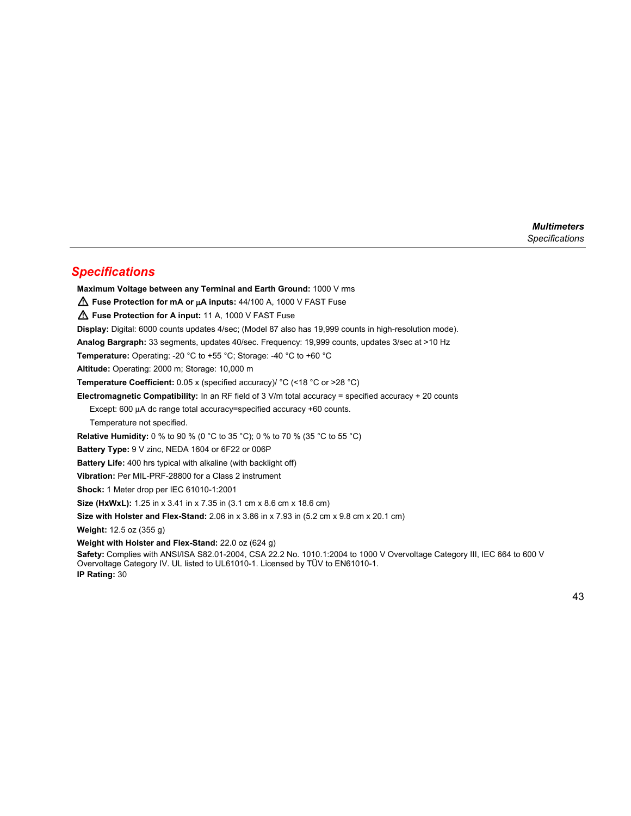# <span id="page-50-0"></span>*Specifications*

**Maximum Voltage between any Terminal and Earth Ground:** 1000 V rms W **Fuse Protection for mA or** μ**A inputs:** 44/100 A, 1000 V FAST Fuse W **Fuse Protection for A input:** 11 A, 1000 V FAST Fuse **Display:** Digital: 6000 counts updates 4/sec; (Model 87 also has 19,999 counts in high-resolution mode). **Analog Bargraph:** 33 segments, updates 40/sec. Frequency: 19,999 counts, updates 3/sec at >10 Hz **Temperature:** Operating: -20 °C to +55 °C; Storage: -40 °C to +60 °C **Altitude:** Operating: 2000 m; Storage: 10,000 m **Temperature Coefficient:** 0.05 x (specified accuracy)/ °C (<18 °C or >28 °C) **Electromagnetic Compatibility:** In an RF field of 3 V/m total accuracy = specified accuracy + 20 counts Except: 600 μA dc range total accuracy=specified accuracy +60 counts. Temperature not specified. **Relative Humidity:** 0 % to 90 % (0 °C to 35 °C); 0 % to 70 % (35 °C to 55 °C) **Battery Type:** 9 V zinc, NEDA 1604 or 6F22 or 006P **Battery Life:** 400 hrs typical with alkaline (with backlight off) **Vibration:** Per MIL-PRF-28800 for a Class 2 instrument **Shock:** 1 Meter drop per IEC 61010-1:2001 **Size (HxWxL):** 1.25 in x 3.41 in x 7.35 in (3.1 cm x 8.6 cm x 18.6 cm) **Size with Holster and Flex-Stand:** 2.06 in x 3.86 in x 7.93 in (5.2 cm x 9.8 cm x 20.1 cm) **Weight:** 12.5 oz (355 g) **Weight with Holster and Flex-Stand:** 22.0 oz (624 g) **Safety:** Complies with ANSI/ISA S82.01-2004, CSA 22.2 No. 1010.1:2004 to 1000 V Overvoltage Category III, IEC 664 to 600 V Overvoltage Category IV. UL listed to UL61010-1. Licensed by TÜV to EN61010-1. **IP Rating:** 30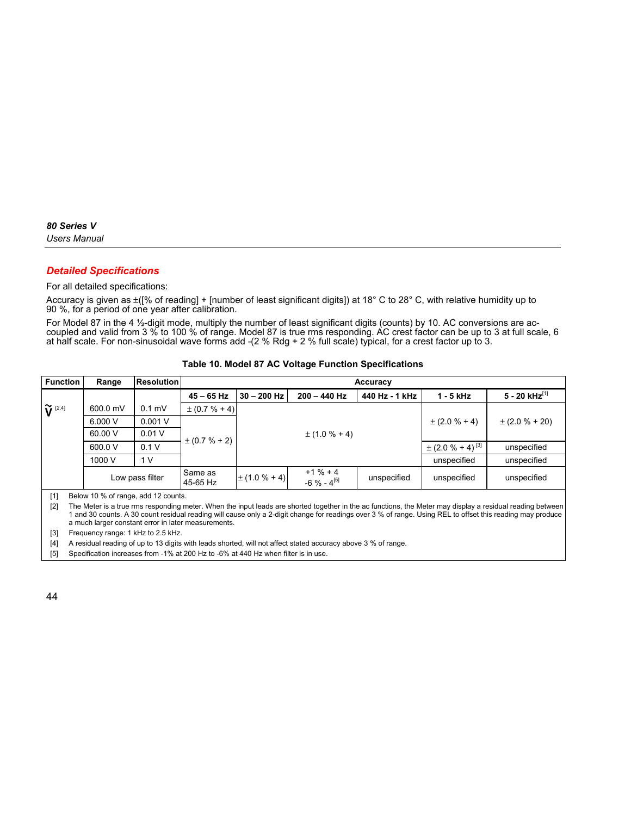#### <span id="page-51-0"></span>*Detailed Specifications*

For all detailed specifications:

Accuracy is given as ±([% of reading] + [number of least significant digits]) at 18° C to 28° C, with relative humidity up to 90 %, for a period of one year after calibration.

For Model 87 in the 4 1/<sub>2</sub>-digit mode, multiply the number of least significant digits (counts) by 10. AC conversions are accoupled and valid from 3 % to 100 % of range. Model 87 is true rms responding. AC crest factor can be up to 3 at full scale, 6 at half scale. For non-sinusoidal wave forms add -(2 % Rdg + 2 % full scale) typical, for a crest factor up to 3.

| <b>Function</b>                  | Range    | Resolution      |                     | Accuracy           |                                  |                |                                  |                             |  |
|----------------------------------|----------|-----------------|---------------------|--------------------|----------------------------------|----------------|----------------------------------|-----------------------------|--|
|                                  |          |                 | $45 - 65$ Hz        | $30 - 200$ Hz      | $200 - 440$ Hz                   | 440 Hz - 1 kHz | 1 - 5 kHz                        | $5 - 20$ kHz <sup>[1]</sup> |  |
| $\widetilde{\mathbf{V}}^{[2,4]}$ | 600.0 mV | $0.1$ mV        | $\pm (0.7 \% + 4)$  |                    |                                  |                |                                  |                             |  |
|                                  | 6.000V   | 0.001V          |                     |                    |                                  |                | $\pm$ (2.0 % + 4)                | $\pm$ (2.0 % + 20)          |  |
|                                  | 60.00 V  | 0.01 V          |                     | $\pm$ (1.0 % + 4)  |                                  |                |                                  |                             |  |
|                                  | 600.0 V  | 0.1V            | $\pm (0.7 % + 2)$   |                    |                                  |                | $\pm$ (2.0 % + 4) <sup>[3]</sup> | unspecified                 |  |
|                                  | 1000 V   | 1 V             |                     |                    |                                  |                | unspecified                      | unspecified                 |  |
|                                  |          | Low pass filter | Same as<br>45-65 Hz | $\pm (1.0 \% + 4)$ | $+1 \% + 4$<br>$-6 \% - 4^{[5]}$ | unspecified    | unspecified                      | unspecified                 |  |

#### **Table 10. Model 87 AC Voltage Function Specifications**

[1] Below 10 % of range, add 12 counts.

[2] The Meter is a true rms responding meter. When the input leads are shorted together in the ac functions, the Meter may display a residual reading between 1 and 30 counts. A 30 count residual reading will cause only a 2-digit change for readings over 3 % of range. Using REL to offset this reading may produce a much larger constant error in later measurements.

[3] Frequency range: 1 kHz to 2.5 kHz.

[4] A residual reading of up to 13 digits with leads shorted, will not affect stated accuracy above 3 % of range.

[5] Specification increases from -1% at 200 Hz to -6% at 440 Hz when filter is in use.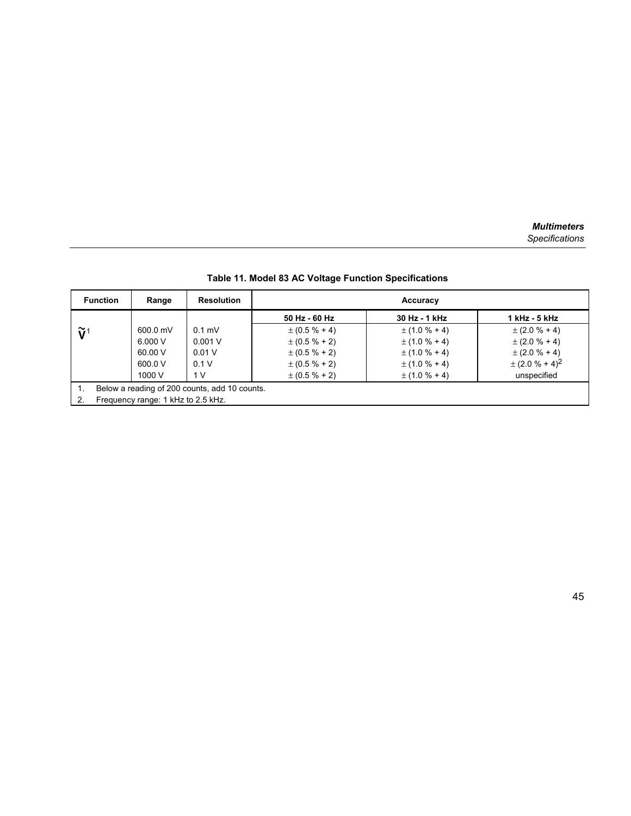<span id="page-52-0"></span>

| <b>Function</b> | Range                                         | <b>Resolution</b> | Accuracy           |                   |                      |  |  |
|-----------------|-----------------------------------------------|-------------------|--------------------|-------------------|----------------------|--|--|
|                 |                                               |                   | 50 Hz - 60 Hz      | 30 Hz - 1 kHz     | 1 kHz - 5 kHz        |  |  |
| ĩΪ              | 600.0 mV                                      | $0.1$ mV          | $\pm (0.5 \% + 4)$ | $\pm$ (1.0 % + 4) | $\pm$ (2.0 % + 4)    |  |  |
|                 | 6.000V                                        | 0.001V            | $\pm (0.5 \% + 2)$ | $\pm$ (1.0 % + 4) | $\pm$ (2.0 % + 4)    |  |  |
|                 | 60.00 V                                       | 0.01 V            | $\pm (0.5 % + 2)$  | $\pm$ (1.0 % + 4) | $\pm$ (2.0 % + 4)    |  |  |
|                 | 600.0 V                                       | 0.1V              | $\pm (0.5 % + 2)$  | $\pm$ (1.0 % + 4) | $\pm (2.0 \% + 4)^2$ |  |  |
|                 | 1000 V                                        | 1 V               | $\pm (0.5 \% + 2)$ | $\pm$ (1.0 % + 4) | unspecified          |  |  |
|                 | Below a reading of 200 counts, add 10 counts. |                   |                    |                   |                      |  |  |
|                 | Frequency range: 1 kHz to 2.5 kHz.            |                   |                    |                   |                      |  |  |

**Table 11. Model 83 AC Voltage Function Specifications**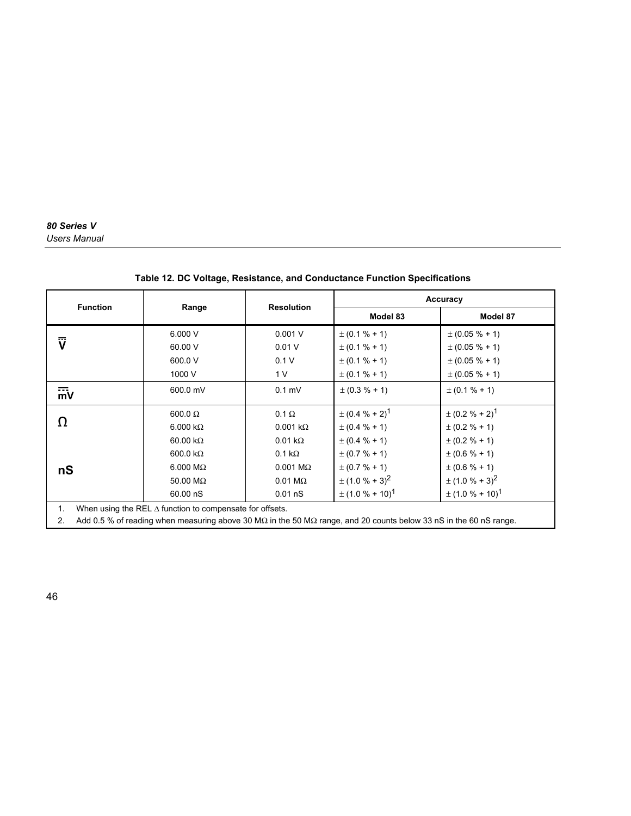<span id="page-53-0"></span>

|                                                                       |                         |                        |                                 | Accuracy                |  |  |  |
|-----------------------------------------------------------------------|-------------------------|------------------------|---------------------------------|-------------------------|--|--|--|
| <b>Function</b>                                                       | Range                   | <b>Resolution</b>      | Model 83                        | Model 87                |  |  |  |
|                                                                       | 6.000V                  | 0.001 V                | $\pm (0.1 \% + 1)$              | $\pm (0.05 \% + 1)$     |  |  |  |
| $\overline{\mathbf{v}}$                                               | 60.00 V                 | 0.01V                  | $\pm (0.1 % + 1)$               | $\pm (0.05 \% + 1)$     |  |  |  |
|                                                                       | 600.0 V                 | 0.1V                   | $\pm (0.1 % + 1)$               | $\pm (0.05 \% + 1)$     |  |  |  |
|                                                                       | 1000 V                  | 1 <sub>V</sub>         | $\pm (0.1 \% + 1)$              | $\pm (0.05 \% + 1)$     |  |  |  |
| $\overline{\overline{m}}$ v                                           | 600.0 mV                | $0.1$ mV               | $\pm (0.3 % + 1)$               | $\pm (0.1 % + 1)$       |  |  |  |
|                                                                       | 600.0 $\Omega$          | $0.1 \Omega$           | $\pm (0.4 % + 2)^{1}$           | $\pm (0.2 % + 2)^1$     |  |  |  |
| Ω                                                                     | 6.000 k $\Omega$        | $0.001 k\Omega$        | $\pm (0.4 % + 1)$               | $\pm (0.2 % + 1)$       |  |  |  |
|                                                                       | 60.00 k $\Omega$        | $0.01 \text{ k}\Omega$ | $\pm (0.4 \% + 1)$              | $\pm (0.2 % + 1)$       |  |  |  |
|                                                                       | $600.0 \text{ k}\Omega$ | $0.1 k\Omega$          | $\pm (0.7 % + 1)$               | $\pm (0.6 % + 1)$       |  |  |  |
| nS                                                                    | $6.000 M\Omega$         | $0.001$ M $\Omega$     | $\pm (0.7 % + 1)$               | $\pm (0.6 % + 1)$       |  |  |  |
|                                                                       | 50.00 M $\Omega$        | $0.01 \text{ M}\Omega$ | $\pm (1.0 \% + 3)^2$            | $\pm (1.0 \% + 3)^2$    |  |  |  |
|                                                                       | 60.00 nS                | 0.01 <sub>ns</sub>     | $\pm$ (1.0 % + 10) <sup>1</sup> | $\pm (1.0 \% + 10)^{1}$ |  |  |  |
| When using the REL $\Delta$ function to compensate for offsets.<br>1. |                         |                        |                                 |                         |  |  |  |

#### **Table 12. DC Voltage, Resistance, and Conductance Function Specifications**

2. Add 0.5 % of reading when measuring above 30 MΩ in the 50 MΩ range, and 20 counts below 33 nS in the 60 nS range.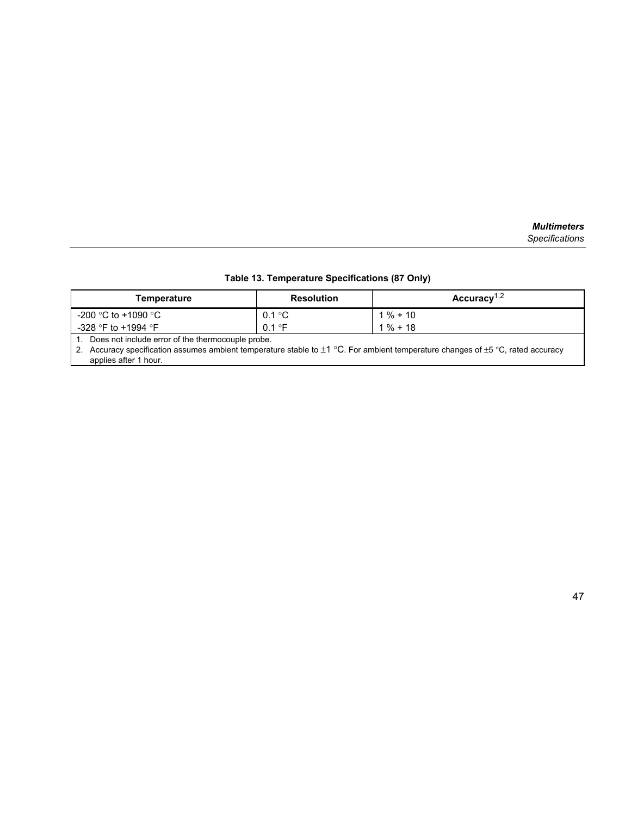#### **Table 13. Temperature Specifications (87 Only)**

<span id="page-54-0"></span>

| Temperature                                                                                                                                       | <b>Resolution</b> | Accuracy <sup>1,2</sup> |  |  |  |
|---------------------------------------------------------------------------------------------------------------------------------------------------|-------------------|-------------------------|--|--|--|
| -200 °C to +1090 °C                                                                                                                               | 0.1 °C            | $1 \% + 10$             |  |  |  |
| -328 °F to +1994 °F                                                                                                                               | 0.1 °F            | $1 \% + 18$             |  |  |  |
| Does not include error of the thermocouple probe.                                                                                                 |                   |                         |  |  |  |
| Accuracy specification assumes ambient temperature stable to $\pm 1$ °C. For ambient temperature changes of $\pm 5$ °C, rated accuracy<br>$2_{-}$ |                   |                         |  |  |  |
| applies after 1 hour.                                                                                                                             |                   |                         |  |  |  |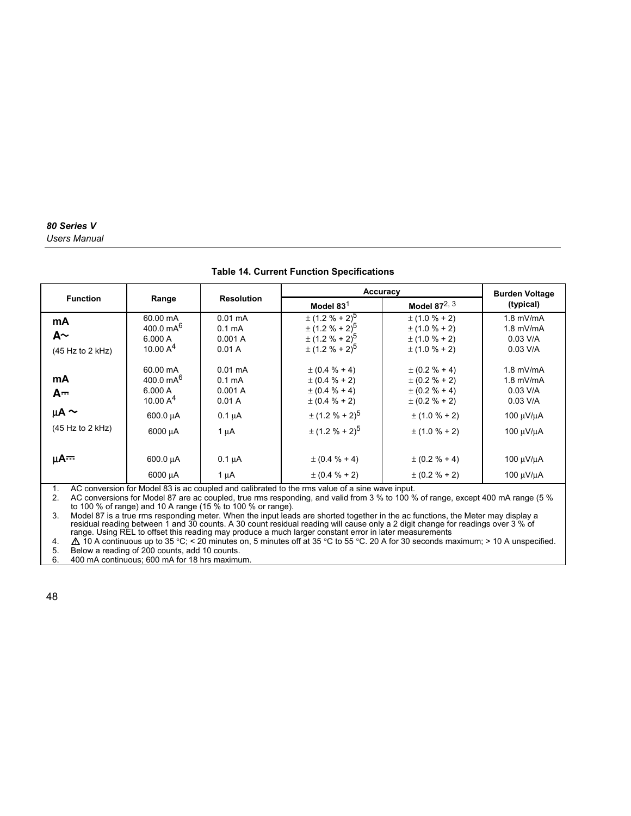<span id="page-55-0"></span>

|                                      |                                                     |                                                            | Accuracy                                                                                                                             | <b>Burden Voltage</b>                                                             |                                                        |
|--------------------------------------|-----------------------------------------------------|------------------------------------------------------------|--------------------------------------------------------------------------------------------------------------------------------------|-----------------------------------------------------------------------------------|--------------------------------------------------------|
| <b>Function</b>                      | Range                                               | <b>Resolution</b>                                          | Model $831$                                                                                                                          | Model $87^{2,3}$                                                                  | (typical)                                              |
| mA<br>$A^{\sim}$<br>(45 Hz to 2 kHz) | 60.00 mA<br>400.0 $mA^6$<br>6.000 A<br>10.00 $A^4$  | $0.01 \text{ mA}$<br>0.1 <sub>m</sub> A<br>0.001A<br>0.01A | $\pm$ (1.2 % + 2) <sup>5</sup><br>$\pm$ (1.2 % + 2) <sup>5</sup><br>$\pm$ (1.2 % + 2) <sup>5</sup><br>$\pm$ (1.2 % + 2) <sup>5</sup> | $\pm$ (1.0 % + 2)<br>$\pm$ (1.0 % + 2)<br>$\pm$ (1.0 % + 2)<br>$\pm$ (1.0 % + 2)  | $1.8$ mV/mA<br>$1.8$ mV/mA<br>$0.03$ V/A<br>$0.03$ V/A |
| mA<br>$A =$                          | 60.00 mA<br>400.0 m $A^6$<br>6.000 A<br>10.00 $A^4$ | $0.01 \text{ mA}$<br>0.1 <sub>m</sub> A<br>0.001A<br>0.01A | $\pm (0.4 \% + 4)$<br>$\pm (0.4 % + 2)$<br>$\pm (0.4 \% + 4)$<br>$\pm (0.4 % + 2)$                                                   | $\pm (0.2 \% + 4)$<br>$\pm (0.2 % + 2)$<br>$\pm (0.2 % + 4)$<br>$\pm (0.2 % + 2)$ | $1.8$ mV/mA<br>$1.8$ mV/mA<br>$0.03$ V/A<br>$0.03$ V/A |
| $\mu$ A $\sim$<br>(45 Hz to 2 kHz)   | 600.0 µA<br>6000 µA                                 | $0.1 \mu A$<br>$1 \mu A$                                   | $\pm (1.2 % + 2)^5$<br>$\pm$ (1.2 % + 2) <sup>5</sup>                                                                                | $\pm$ (1.0 % + 2)<br>$\pm$ (1.0 % + 2)                                            | $100 \mu V/\mu A$<br>100 μV/μA                         |
| µA <sub></sub>                       | $600.0 \mu A$<br>6000 µA                            | $0.1 \mu A$<br>$1 \mu A$                                   | $\pm (0.4 % + 4)$<br>$\pm (0.4 % + 2)$                                                                                               | $\pm (0.2 % + 4)$<br>$\pm (0.2 % + 2)$                                            | 100 μV/μA<br>$100 \mu V/\mu A$                         |

#### **Table 14. Current Function Specifications**

1. AC conversion for Model 83 is ac coupled and calibrated to the rms value of a sine wave input.

2. AC conversions for Model 87 are ac coupled, true rms responding, and valid from 3 % to 100 % of range, except 400 mA range (5 % to 100 % of range) and 10 A range (15 % to 100 % or range).

3. Model 87 is a true rms responding meter. When the input leads are shorted together in the ac functions, the Meter may display a residual reading between 1 and 30 counts. A 30 count residual reading will cause only a 2 digit change for readings over 3 % of range. Using REL to offset this reading may produce a much larger constant error in later measurements

4.  $\triangle$  10 A continuous up to 35 °C; < 20 minutes on, 5 minutes off at 35 °C to 55 °C. 20 A for 30 seconds maximum; > 10 A unspecified.<br>5. Below a reading of 200 counts, add 10 counts.

5. Below a reading of 200 counts, add 10 counts.

6. 400 mA continuous; 600 mA for 18 hrs maximum.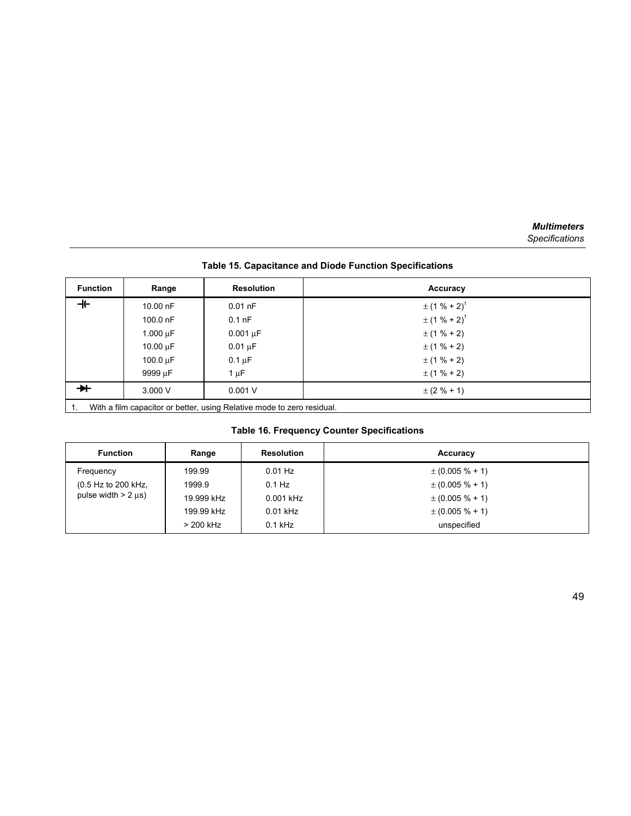<span id="page-56-0"></span>

| <b>Function</b> | Range                                                                  | <b>Resolution</b> | Accuracy                     |  |  |  |
|-----------------|------------------------------------------------------------------------|-------------------|------------------------------|--|--|--|
| $+$             | 10.00 nF                                                               | $0.01$ nF         | $\pm$ (1 % + 2) <sup>1</sup> |  |  |  |
|                 | 100.0 nF                                                               | $0.1$ nF          | $\pm$ (1 % + 2) <sup>1</sup> |  |  |  |
|                 | 1.000 $\mu$ F                                                          | $0.001 \mu F$     | $\pm$ (1 % + 2)              |  |  |  |
|                 | 10.00 $\mu$ F                                                          | $0.01 \mu F$      | $\pm$ (1 % + 2)              |  |  |  |
|                 | 100.0 $\mu$ F                                                          | $0.1 \mu F$       | $\pm$ (1 % + 2)              |  |  |  |
|                 | 9999 µF                                                                | $1 \mu F$         | $\pm$ (1 % + 2)              |  |  |  |
| ₩               | 3.000V                                                                 | 0.001V            | $\pm (2 \% + 1)$             |  |  |  |
|                 | With a film capacitor or better, using Relative mode to zero residual. |                   |                              |  |  |  |

#### **Table 15. Capacitance and Diode Function Specifications**

#### **Table 16. Frequency Counter Specifications**

| <b>Function</b>           | Range      | Resolution | Accuracy             |
|---------------------------|------------|------------|----------------------|
| Frequency                 | 199.99     | $0.01$ Hz  | $\pm (0.005 \% + 1)$ |
| (0.5 Hz to 200 kHz,       | 1999.9     | $0.1$ Hz   | $\pm (0.005 \% + 1)$ |
| pulse width $> 2 \mu s$ ) | 19.999 kHz | 0.001 kHz  | $\pm (0.005 \% + 1)$ |
|                           | 199.99 kHz | $0.01$ kHz | $\pm (0.005 \% + 1)$ |
|                           | > 200 kHz  | $0.1$ kHz  | unspecified          |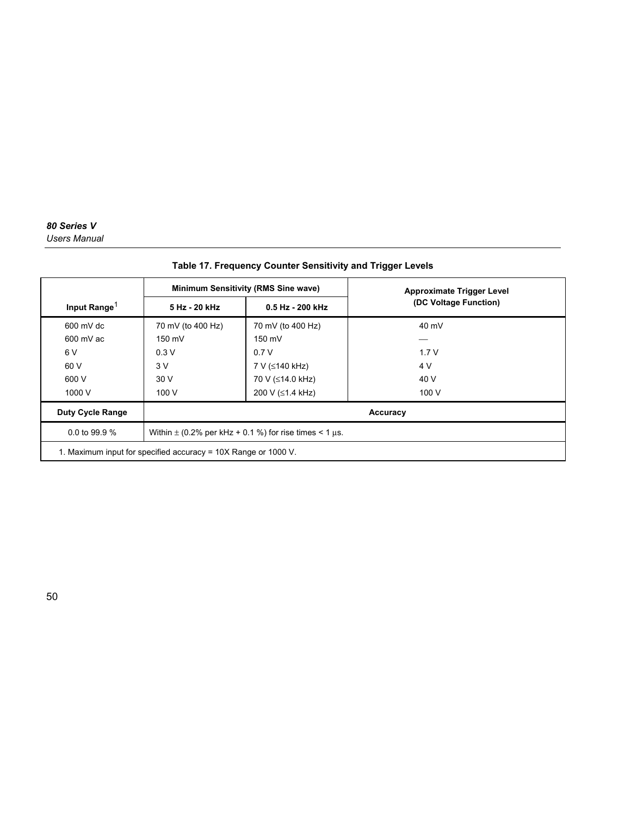<span id="page-57-0"></span>

|                          | <b>Minimum Sensitivity (RMS Sine wave)</b>                      |                   | <b>Approximate Trigger Level</b> |  |  |
|--------------------------|-----------------------------------------------------------------|-------------------|----------------------------------|--|--|
| Input Range <sup>1</sup> | 5 Hz - 20 kHz                                                   | 0.5 Hz - 200 kHz  | (DC Voltage Function)            |  |  |
| $600 \text{ mV}$ dc      | 70 mV (to 400 Hz)                                               | 70 mV (to 400 Hz) | 40 mV                            |  |  |
| 600 mV ac                | 150 mV                                                          | 150 mV            |                                  |  |  |
| 6 V                      | 0.3V                                                            | 0.7V              | 1.7V                             |  |  |
| 60 V                     | 3 V                                                             | 7 V (≤140 kHz)    | 4 V                              |  |  |
| 600 V                    | 30 V                                                            | 70 V (≤14.0 kHz)  | 40 V                             |  |  |
| 1000 V                   | 100 V                                                           | 200 V (≤1.4 kHz)  | 100 V                            |  |  |
| <b>Duty Cycle Range</b>  | Accuracy                                                        |                   |                                  |  |  |
| 0.0 to 99.9 %            | Within $\pm$ (0.2% per kHz + 0.1 %) for rise times < 1 $\mu$ s. |                   |                                  |  |  |
|                          | 1. Maximum input for specified accuracy = 10X Range or 1000 V.  |                   |                                  |  |  |

#### **Table 17. Frequency Counter Sensitivity and Trigger Levels**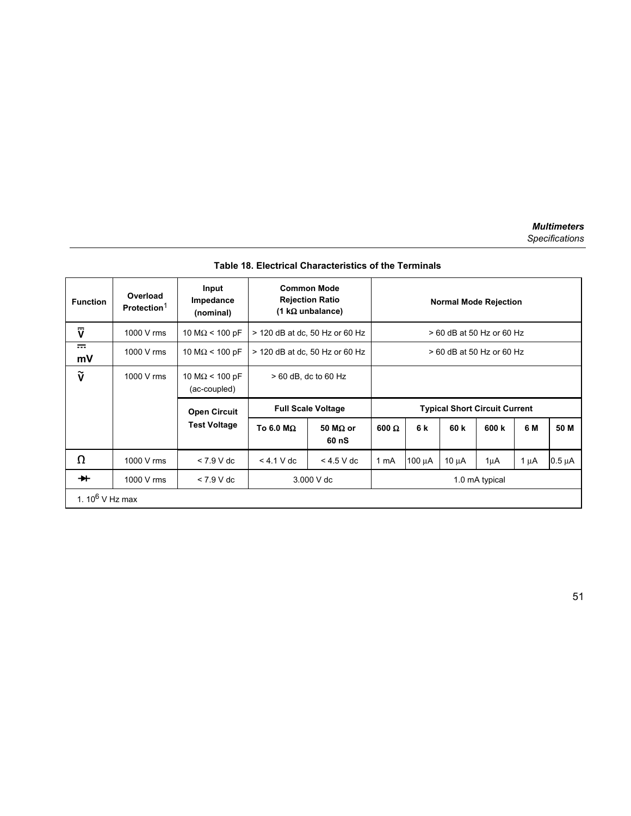#### **Table 18. Electrical Characteristics of the Terminals**

<span id="page-58-0"></span>

| <b>Function</b>                    | Overload<br>Protection $1$ | Input<br>Impedance<br>(nominal)        | <b>Common Mode</b><br><b>Rejection Ratio</b><br>(1 k $\Omega$ unbalance) | <b>Normal Mode Rejection</b> |                                      |             |            |          |           |             |
|------------------------------------|----------------------------|----------------------------------------|--------------------------------------------------------------------------|------------------------------|--------------------------------------|-------------|------------|----------|-----------|-------------|
| $\overline{\overline{\mathsf{v}}}$ | 1000 V rms                 | 10 M $\Omega$ < 100 pF                 | > 120 dB at dc, 50 Hz or 60 Hz                                           | > 60 dB at 50 Hz or 60 Hz    |                                      |             |            |          |           |             |
| $\overline{1}$<br>mV               | 1000 V rms                 | 10 M $\Omega$ < 100 pF                 | > 120 dB at dc, 50 Hz or 60 Hz                                           | > 60 dB at 50 Hz or 60 Hz    |                                      |             |            |          |           |             |
| ũ                                  | 1000 V rms                 | 10 M $\Omega$ < 100 pF<br>(ac-coupled) | $> 60$ dB, dc to 60 Hz                                                   |                              |                                      |             |            |          |           |             |
|                                    |                            | <b>Open Circuit</b>                    | <b>Full Scale Voltage</b>                                                |                              | <b>Typical Short Circuit Current</b> |             |            |          |           |             |
|                                    |                            | <b>Test Voltage</b>                    | Tο 6.0 MΩ                                                                | 50 M $\Omega$ or<br>60 nS    | $600 \Omega$                         | 6 k         | 60 k       | 600 k    | 6 M       | 50 M        |
| Ω                                  | 1000 V rms                 | < 7.9 V dc                             | $<$ 4.1 V dc                                                             | $<$ 4.5 V dc                 | 1 mA                                 | $100 \mu A$ | $10 \mu A$ | $1\mu$ A | 1 $\mu$ A | $0.5 \mu A$ |
| ₩                                  | 1000 V rms                 | < 7.9 V dc                             | 3.000 V dc                                                               |                              | 1.0 mA typical                       |             |            |          |           |             |
| 1. $10^6$ V Hz max                 |                            |                                        |                                                                          |                              |                                      |             |            |          |           |             |